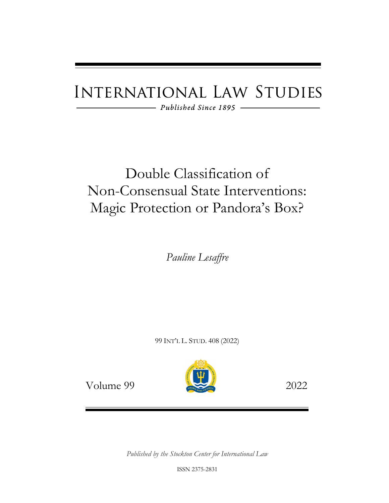# **INTERNATIONAL LAW STUDIES**

 $-$  Published Since 1895  $-$ 

## Double Classification of Non-Consensual State Interventions: Magic Protection or Pandora's Box?

*Pauline Lesaffre*

99 INT'L L. STUD. 408 (2022)



Volume 99 2022

*Published by the Stockton Center for International Law*

ISSN 2375-2831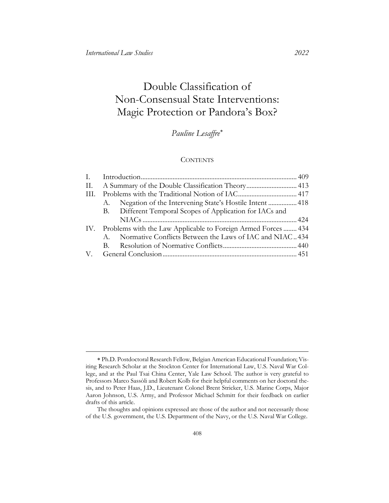### Double Classification of Non-Consensual State Interventions: Magic Protection or Pandora's Box?

### *Pauline Lesaffre*[∗](#page-1-0)

#### **CONTENTS**

| П. | A Summary of the Double Classification Theory 413                 |                                                            |  |
|----|-------------------------------------------------------------------|------------------------------------------------------------|--|
|    |                                                                   |                                                            |  |
|    |                                                                   | A. Negation of the Intervening State's Hostile Intent  418 |  |
|    |                                                                   | B. Different Temporal Scopes of Application for IACs and   |  |
|    |                                                                   |                                                            |  |
|    | IV. Problems with the Law Applicable to Foreign Armed Forces  434 |                                                            |  |
|    |                                                                   | A. Normative Conflicts Between the Laws of IAC and NIAC434 |  |
|    |                                                                   |                                                            |  |
|    |                                                                   |                                                            |  |

<span id="page-1-0"></span><sup>∗</sup> Ph.D. Postdoctoral Research Fellow, Belgian American Educational Foundation; Visiting Research Scholar at the Stockton Center for International Law, U.S. Naval War College, and at the Paul Tsai China Center, Yale Law School. The author is very grateful to Professors Marco Sassòli and Robert Kolb for their helpful comments on her doctoral thesis, and to Peter Haas, J.D., Lieutenant Colonel Brent Stricker, U.S. Marine Corps, Major Aaron Johnson, U.S. Army, and Professor Michael Schmitt for their feedback on earlier drafts of this article.

The thoughts and opinions expressed are those of the author and not necessarily those of the U.S. government, the U.S. Department of the Navy, or the U.S. Naval War College.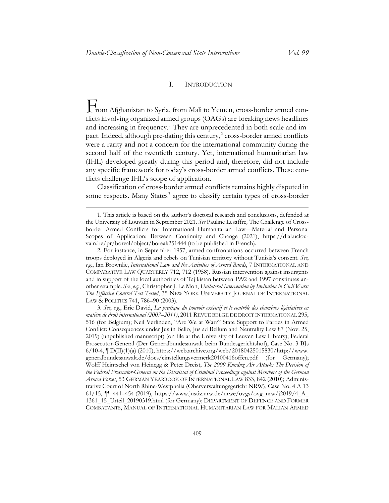#### <span id="page-2-4"></span>I. INTRODUCTION

<span id="page-2-0"></span>From Afghanistan to Syria, from Mali to Yemen, cross-border armed conflicts involving organized armed groups (OAGs) are breaking news headlines and increasing in frequency.<sup>[1](#page-2-1)</sup> They are unprecedented in both scale and impact. Indeed, although pre-dating this century, $2$  cross-border armed conflicts were a rarity and not a concern for the international community during the second half of the twentieth century. Yet, international humanitarian law (IHL) developed greatly during this period and, therefore, did not include any specific framework for today's cross-border armed conflicts. These conflicts challenge IHL's scope of application.

Classification of cross-border armed conflicts remains highly disputed in some respects. Many States<sup>[3](#page-2-3)</sup> agree to classify certain types of cross-border

<span id="page-2-2"></span>2. For instance, in September 1957, armed confrontations occurred between French troops deployed in Algeria and rebels on Tunisian territory without Tunisia's consent. *See*, *e.g.*, Ian Brownlie, *International Law and the Activities of Armed Bands*, 7 INTERNATIONAL AND COMPARATIVE LAW QUARTERLY 712, 712 (1958). Russian intervention against insurgents and in support of the local authorities of Tajikistan between 1992 and 1997 constitutes another example. *See*, *e.g.*, Christopher J. Le Mon, *Unilateral Intervention by Invitation in Civil Wars: The Effective Control Test Tested*, 35 NEW YORK UNIVERSITY JOURNAL OF INTERNATIONAL LAW & POLITICS 741, 786–90 (2003).

<span id="page-2-3"></span>3. *See*, *e.g.*, Eric David, *La pratique du pouvoir exécutif et le contrôle des chambres législatives en matière de droit international (2007–2011)*, 2011 REVUE BELGE DE DROIT INTERNATIONAL 295, 516 (for Belgium); Neil Verlinden, "Are We at War?" State Support to Parties in Armed Conflict: Consequences under Jus in Bello, Jus ad Bellum and Neutrality Law 87 (Nov. 25, 2019) (unpublished manuscript) (on file at the University of Leuven Law Library); Federal Prosecutor-General (Der Generalbundesanwalt beim Bundesgerichtshof), Case No. 3 BJs 6/10-4,  $\P D(\Pi)(1)$ (a) (2010), https://web.archive.org/web/20180425015830/http://www. [generalbundesanwalt.de/docs/einstellungsvermerk20100416offen.pdf](https://web.archive.org/web/20180425015830/http:/www.generalbundesanwalt.de/docs/einstellungsvermerk20100416offen.pdf) (for Germany); Wolff Heintschel von Heinegg & Peter Dreist, *The 2009 Kunduz Air Attack: The Decision of the Federal Prosecutor-General on the Dismissal of Criminal Proceedings against Members of the German Armed Forces*, 53 GERMAN YEARBOOK OF INTERNATIONAL LAW 833, 842 (2010); Administrative Court of North Rhine-Westphalia (Oberverwaltungsgericht NRW), Case No. 4 A 13 61/15,  $\P$  441–454 (2019), https://www.justiz.nrw.de/nrwe/ovgs/ovg\_nrw/j2019/4\_A\_ [1361\\_15\\_Urteil\\_20190319.html](https://www.justiz.nrw.de/nrwe/ovgs/ovg_nrw/j2019/4_A_1361_15_Urteil_20190319.html) (for Germany); DEPARTMENT OF DEFENCE AND FORMER COMBATANTS, MANUAL OF INTERNATIONAL HUMANITARIAN LAW FOR MALIAN ARMED

<span id="page-2-1"></span><sup>1.</sup> This article is based on the author's doctoral research and conclusions, defended at the University of Louvain in September 2021. *See* Pauline Lesaffre*,* The Challenge of Crossborder Armed Conflicts for International Humanitarian Law—Material and Personal Scopes of Application: Between Continuity and Change (2021), [https://dial.uclou](https://dial.uclouvain.be/pr/boreal/object/boreal:251444)[vain.be/pr/boreal/object/boreal:251444](https://dial.uclouvain.be/pr/boreal/object/boreal:251444) (to be published in French).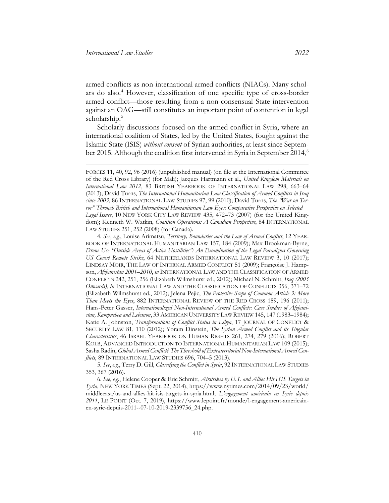armed conflicts as non-international armed conflicts (NIACs). Many scholars do also.[4](#page-3-0) However, classification of one specific type of cross-border armed conflict—those resulting from a non-consensual State intervention against an OAG—still constitutes an important point of contention in legal scholarship.<sup>[5](#page-3-1)</sup>

<span id="page-3-3"></span>Scholarly discussions focused on the armed conflict in Syria, where an international coalition of States, led by the United States, fought against the Islamic State (ISIS) *without consent* of Syrian authorities, at least since Septem-ber 2015. Although the coalition first intervened in Syria in September 2014,<sup>[6](#page-3-2)</sup>

<span id="page-3-0"></span>4. *See*, *e.g.*, Louise Arimatsu, *Territory, Boundaries and the Law of Armed Conflict*, 12 YEAR-BOOK OF INTERNATIONAL HUMANITARIAN LAW 157, 184 (2009); Max Brookman-Byrne, *Drone Use "Outside Areas of Active Hostilities": An Examination of the Legal Paradigms Governing US Covert Remote Strike*, 64 NETHERLANDS INTERNATIONAL LAW REVIEW 3, 10 (2017); LINDSAY MOIR, THE LAW OF INTERNAL ARMED CONFLICT 51 (2009); Françoise J. Hampson, *Afghanistan 2001–2010*, *in* INTERNATIONAL LAW AND THE CLASSIFICATION OF ARMED CONFLICTS 242, 251, 256 (Elizabeth Wilmshurst ed., 2012); Michael N. Schmitt, *Iraq (2003 Onwards)*, *in* INTERNATIONAL LAW AND THE CLASSIFICATION OF CONFLICTS 356, 371–72 (Elizabeth Wilmshurst ed., 2012); Jelena Pejic, *The Protective Scope of Common Article 3: More Than Meets the Eyes*, 882 INTERNATIONAL REVIEW OF THE RED CROSS 189, 196 (2011); Hans-Peter Gasser, *Internationalized Non-International Armed Conflicts: Case Studies of Afghanistan, Kampuchea and Lebanon*, 33 AMERICAN UNIVERSITY LAW REVIEW 145, 147 (1983–1984); Katie A. Johnston, *Transformations of Conflict Status in Libya*, 17 JOURNAL OF CONFLICT & SECURITY LAW 81, 110 (2012); Yoram Dinstein, *The Syrian Armed Conflict and its Singular Characteristics*, 46 ISRAEL YEARBOOK ON HUMAN RIGHTS 261, 274, 279 (2016); ROBERT KOLB, ADVANCED INTRODUCTION TO INTERNATIONAL HUMANITARIAN LAW 109 (2015); Sasha Radin, *Global Armed Conflict? The Threshold of Extraterritorial Non-International Armed Conflicts*, 89 INTERNATIONAL LAW STUDIES 696, 704–5 (2013).

<span id="page-3-1"></span>5. *See*, *e.g.*, Terry D. Gill, *Classifying the Conflict in Syria*, 92 INTERNATIONAL LAW STUDIES 353, 367 (2016).

<span id="page-3-2"></span>6. *See*, *e.g.*, Helene Cooper & Eric Schmitt, *Airstrikes by U.S. and Allies Hit ISIS Targets in Syria*, NEW YORK TIMES (Sept. 22, 2014), https://www.nytimes.com/2014/09/23/world/ middleeast/us-and-allies-hit-isis-targets-in-syria.html; *L'engagement américain en Syrie depuis 2011*, LE POINT (Oct. 7, 2019), https://www.lepoint.fr/monde/l-engagement-americainen-syrie-depuis-2011--07-10-2019-2339756\_24.php.

FORCES 11, 40, 92, 96 (2016) (unpublished manual) (on file at the International Committee of the Red Cross Library) (for Mali); Jacques Hartmann et al., *United Kingdom Materials on International Law 2012*, 83 BRITISH YEARBOOK OF INTERNATIONAL LAW 298, 663–64 (2013); David Turns, *The International Humanitarian Law Classification of Armed Conflicts in Iraq since 2003*, 86 INTERNATIONAL LAW STUDIES 97, 99 (2010); David Turns, *The "War on Terror" Through British and International Humanitarian Law Eyes: Comparative Perspective on Selected Legal Issues*, 10 NEW YORK CITY LAW REVIEW 435, 472–73 (2007) (for the United Kingdom); Kenneth W. Watkin, *Coalition Operations: A Canadian Perspective*, 84 INTERNATIONAL LAW STUDIES 251, 252 (2008) (for Canada).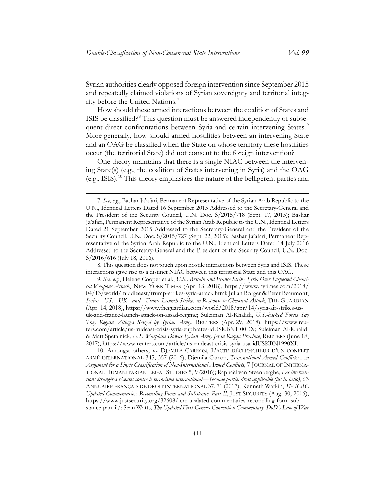Syrian authorities clearly opposed foreign intervention since September 2015 and repeatedly claimed violations of Syrian sovereignty and territorial integrity before the United Nations.[7](#page-4-0)

<span id="page-4-5"></span>How should these armed interactions between the coalition of States and ISIS be classified? $8$  This question must be answered independently of subse-quent direct confrontations between Syria and certain intervening States.<sup>[9](#page-4-2)</sup> More generally, how should armed hostilities between an intervening State and an OAG be classified when the State on whose territory these hostilities occur (the territorial State) did not consent to the foreign intervention?

<span id="page-4-4"></span>One theory maintains that there is a single NIAC between the intervening State(s) (e.g., the coalition of States intervening in Syria) and the OAG (e.g., ISIS).<sup>[10](#page-4-3)</sup> This theory emphasizes the nature of the belligerent parties and

<span id="page-4-1"></span>8. This question does not touch upon hostile interactions between Syria and ISIS. These interactions gave rise to a distinct NIAC between this territorial State and this OAG.

<span id="page-4-2"></span>9. *See*, *e.g.*, Helene Cooper et al., *U.S., Britain and France Strike Syria Over Suspected Chemical Weapons Attack*, NEW YORK TIMES (Apr. 13, 2018), https://www.nytimes.com/2018/ 04/13/world/middleeast/trump-strikes-syria-attack.html; Julian Borger & Peter Beaumont, *Syria: US, UK and France Launch Strikes in Response to Chemical Attack*, THE GUARDIAN (Apr. 14, 2018), https://www.theguardian.com/world/2018/apr/14/syria-air-strikes-usuk-and-france-launch-attack-on-assad-regime; Suleiman Al-Khalidi, *U.S.-backed Forces Say They Regain Villages Seized by Syrian Army*, REUTERS (Apr. 29, 2018), https://www.reuters.com/article/us-mideast-crisis-syria-euphrates-idUSKBN1I00EX; Suleiman Al-Khalidi & Matt Spetalnick, *U.S. Warplane Downs Syrian Army Jet in Raqqa Province*, REUTERS (June 18, 2017), https://www.reuters.com/article/us-mideast-crisis-syria-usa-idUSKBN1990XI.

<span id="page-4-3"></span>10. Amongst others, *see* DJEMILA CARRON, L'ACTE DÉCLENCHEUR D'UN CONFLIT ARMÉ INTERNATIONAL 345, 357 (2016); Djemila Carron, *Transnational Armed Conflicts: An Argument for a Single Classification of Non-International Armed Conflicts*, 7 JOURNAL OF INTERNA-TIONAL HUMANITARIAN LEGAL STUDIES 5, 9 (2016); Raphaël van Steenberghe, *Les interventions étrangères récentes contre le terrorisme international—Seconde partie: droit applicable (jus in bello)*, 63 ANNUAIRE FRANÇAIS DE DROIT INTERNATIONAL 37, 71 (2017); Kenneth Watkin, *The ICRC Updated Commentaries: Reconciling Form and Substance, Part II*, JUST SECURITY (Aug. 30, 2016), https://www.justsecurity.org/32608/icrc-updated-commentaries-reconciling-form-substance-part-ii/; Sean Watts, *The Updated First Geneva Convention Commentary, DoD's Law of War* 

<span id="page-4-0"></span><sup>7.</sup> *See*, *e.g.*, Bashar Ja'afari, Permanent Representative of the Syrian Arab Republic to the U.N., Identical Letters Dated 16 September 2015 Addressed to the Secretary-General and the President of the Security Council, U.N. Doc. S/2015/718 (Sept. 17, 2015); Bashar Ja'afari, Permanent Representative of the Syrian Arab Republic to the U.N., Identical Letters Dated 21 September 2015 Addressed to the Secretary-General and the President of the Security Council, U.N. Doc. S/2015/727 (Sept. 22, 2015); Bashar Ja'afari, Permanent Representative of the Syrian Arab Republic to the U.N., Identical Letters Dated 14 July 2016 Addressed to the Secretary-General and the President of the Security Council, U.N. Doc. S/2016/616 (July 18, 2016).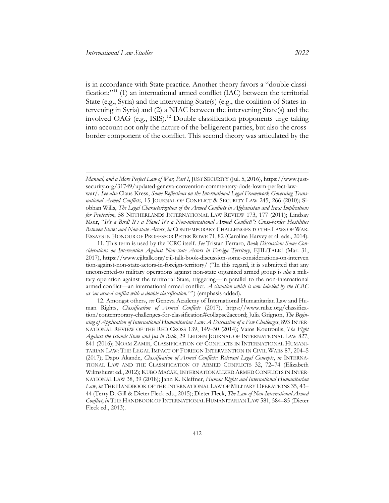<span id="page-5-4"></span><span id="page-5-3"></span><span id="page-5-2"></span>is in accordance with State practice. Another theory favors a "double classi-fication:"<sup>[11](#page-5-0)</sup> (1) an international armed conflict (IAC) between the territorial State (e.g., Syria) and the intervening State(s) (e.g., the coalition of States intervening in Syria) and (2) a NIAC between the intervening State(s) and the involved OAG (e.g., ISIS). [12](#page-5-1) Double classification proponents urge taking into account not only the nature of the belligerent parties, but also the crossborder component of the conflict. This second theory was articulated by the

*Manual, and a More Perfect Law of War, Part I*, JUST SECURITY (Jul. 5, 2016), [https://www.just](https://www.justsecurity.org/31749/updated-geneva-convention-commentary-dods-lowm-perfect-law-war/)[security.org/31749/updated-geneva-convention-commentary-dods-lowm-perfect-law](https://www.justsecurity.org/31749/updated-geneva-convention-commentary-dods-lowm-perfect-law-war/)[war/.](https://www.justsecurity.org/31749/updated-geneva-convention-commentary-dods-lowm-perfect-law-war/) *See also* Claus Kress, *Some Reflections on the International Legal Framework Governing Transnational Armed Conflicts*, 15 JOURNAL OF CONFLICT & SECURITY LAW 245, 266 (2010); Siobhan Wills, *The Legal Characterization of the Armed Conflicts in Afghanistan and Iraq: Implications for Protection*, 58 NETHERLANDS INTERNATIONAL LAW REVIEW 173, 177 (2011); Lindsay Moir, "*It's a Bird! It's a Plane! It's a Non-international Armed Conflict!": Cross-border Hostilities Between States and Non-state Actors*, *in* CONTEMPORARY CHALLENGES TO THE LAWS OF WAR: ESSAYS IN HONOUR OF PROFESSOR PETER ROWE 71, 82 (Caroline Harvey et al. eds., 2014).

<span id="page-5-0"></span><sup>11.</sup> This term is used by the ICRC itself. *See* Tristan Ferraro, *Book Discussion: Some Considerations on Intervention Against Non-state Actors in Foreign Territory*, EJIL:TALK! (Mar. 31, 2017), [https://www.ejiltalk.org/ejil-talk-book-discussion-some-considerations-on-interven](https://www.ejiltalk.org/ejil-talk-book-discussion-some-considerations-on-intervention-against-non-state-actors-in-foreign-territory/)  [tion-against-non-state-actors-in-foreign-territory/](https://www.ejiltalk.org/ejil-talk-book-discussion-some-considerations-on-intervention-against-non-state-actors-in-foreign-territory/) ("In this regard, it is submitted that any unconsented-to military operations against non-state organized armed group is *also* a military operation against the territorial State, triggering—in parallel to the non-international armed conflict—an international armed conflict. *A situation which is now labelled by the ICRC as 'an armed conflict with a double classification*.*' "* ) (emphasis added).

<span id="page-5-1"></span><sup>12.</sup> Amongst others, *see* Geneva Academy of International Humanitarian Law and Human Rights, *Classification of Armed Conflicts* (2017), https://www.rulac.org/classification/contemporary-challenges-for-classification#collapse2accord; Julia Grignon, *The Beginning of Application of International Humanitarian Law: A Discussion of a Few Challenges*, 893 INTER-NATIONAL REVIEW OF THE RED CROSS 139, 149–50 (2014); Vaios Koutroulis, *The Fight Against the Islamic State and Jus in Bello*, 29 LEIDEN JOURNAL OF INTERNATIONAL LAW 827, 841 (2016); NOAM ZAMIR, CLASSIFICATION OF CONFLICTS IN INTERNATIONAL HUMANI-TARIAN LAW: THE LEGAL IMPACT OF FOREIGN INTERVENTION IN CIVIL WARS 87, 204–5 (2017); Dapo Akande, *Classification of Armed Conflicts: Relevant Legal Concepts*, *in* INTERNA-TIONAL LAW AND THE CLASSIFICATION OF ARMED CONFLICTS 32, 72–74 (Elizabeth Wilmshurst ed., 2012); KUBO MAČÁK, INTERNATIONALIZED ARMED CONFLICTS IN INTER-NATIONAL LAW 38, 39 (2018); Jann K. Kleffner, *Human Rights and International Humanitarian Law*, *in* THE HANDBOOK OF THE INTERNATIONAL LAW OF MILITARY OPERATIONS 35, 43– 44 (Terry D. Gill & Dieter Fleck eds., 2015); Dieter Fleck, *The Law of Non-International Armed Conflict*, *in* THE HANDBOOK OF INTERNATIONAL HUMANITARIAN LAW 581, 584–85 (Dieter Fleck ed., 2013).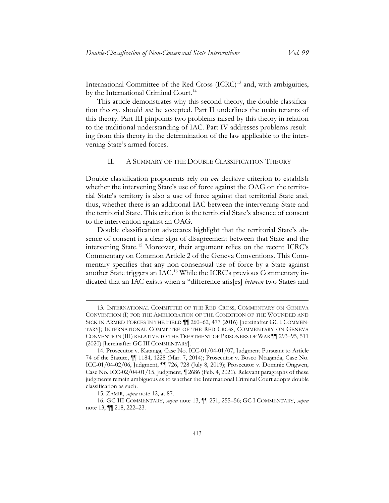<span id="page-6-6"></span><span id="page-6-1"></span>International Committee of the Red Cross (ICRC)<sup>[13](#page-6-2)</sup> and, with ambiguities, by the International Criminal Court.<sup>[14](#page-6-3)</sup>

This article demonstrates why this second theory, the double classification theory, should *not* be accepted. Part II underlines the main tenants of this theory. Part III pinpoints two problems raised by this theory in relation to the traditional understanding of IAC. Part IV addresses problems resulting from this theory in the determination of the law applicable to the intervening State's armed forces.

#### II. A SUMMARY OF THE DOUBLE CLASSIFICATION THEORY

<span id="page-6-0"></span>Double classification proponents rely on *one* decisive criterion to establish whether the intervening State's use of force against the OAG on the territorial State's territory is also a use of force against that territorial State and, thus, whether there is an additional IAC between the intervening State and the territorial State. This criterion is the territorial State's absence of consent to the intervention against an OAG.

Double classification advocates highlight that the territorial State's absence of consent is a clear sign of disagreement between that State and the intervening State.[15](#page-6-4) Moreover, their argument relies on the recent ICRC's Commentary on Common Article 2 of the Geneva Conventions. This Commentary specifies that any non-consensual use of force by a State against another State triggers an IAC.[16](#page-6-5) While the ICRC's previous Commentary indicated that an IAC exists when a "difference aris[es] *between* two States and

<span id="page-6-2"></span><sup>13.</sup> INTERNATIONAL COMMITTEE OF THE RED CROSS, COMMENTARY ON GENEVA CONVENTION (I) FOR THE AMELIORATION OF THE CONDITION OF THE WOUNDED AND SICK IN ARMED FORCES IN THE FIELD ¶¶ 260–62, 477 (2016) [hereinafter GC I COMMEN-TARY]; INTERNATIONAL COMMITTEE OF THE RED CROSS, COMMENTARY ON GENEVA CONVENTION (III) RELATIVE TO THE TREATMENT OF PRISONERS OF WAR ¶¶ 293–95, 511 (2020) [hereinafter GC III COMMENTARY].

<span id="page-6-3"></span><sup>14.</sup> Prosecutor v. Katanga, Case No. ICC-01/04-01/07, Judgment Pursuant to Article 74 of the Statute, ¶¶ 1184, 1228 (Mar. 7, 2014); Prosecutor v. Bosco Ntaganda, Case No. ICC-01/04-02/06, Judgment, ¶¶ 726, 728 (July 8, 2019); Prosecutor v. Dominic Ongwen, Case No. ICC-02/04-01/15, Judgment, ¶ 2686 (Feb. 4, 2021). Relevant paragraphs of these judgments remain ambiguous as to whether the International Criminal Court adopts double classification as such.

<sup>15.</sup> ZAMIR, *supra* note [12,](#page-5-2) at 87.

<span id="page-6-5"></span><span id="page-6-4"></span><sup>16.</sup> GC III COMMENTARY, *supra* note [13,](#page-6-1) ¶¶ 251, 255–56; GC I COMMENTARY, *supra* note [13,](#page-6-1) ¶¶ 218, 222–23.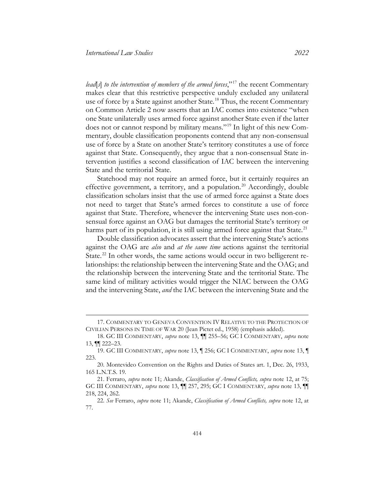<span id="page-7-6"></span>*lead*[*s*] *to the intervention of members of the armed forces*,"[17](#page-7-0) the recent Commentary makes clear that this restrictive perspective unduly excluded any unilateral use of force by a State against another State.<sup>[18](#page-7-1)</sup> Thus, the recent Commentary on Common Article 2 now asserts that an IAC comes into existence "when one State unilaterally uses armed force against another State even if the latter does not or cannot respond by military means."[19](#page-7-2) In light of this new Commentary, double classification proponents contend that any non-consensual use of force by a State on another State's territory constitutes a use of force against that State. Consequently, they argue that a non-consensual State intervention justifies a second classification of IAC between the intervening State and the territorial State.

Statehood may not require an armed force, but it certainly requires an effective government, a territory, and a population.<sup>[20](#page-7-3)</sup> Accordingly, double classification scholars insist that the use of armed force against a State does not need to target that State's armed forces to constitute a use of force against that State. Therefore, whenever the intervening State uses non-consensual force against an OAG but damages the territorial State's territory or harms part of its population, it is still using armed force against that State.<sup>[21](#page-7-4)</sup>

Double classification advocates assert that the intervening State's actions against the OAG are *also* and *at the same time* actions against the territorial State.<sup>[22](#page-7-5)</sup> In other words, the same actions would occur in two belligerent relationships: the relationship between the intervening State and the OAG; and the relationship between the intervening State and the territorial State. The same kind of military activities would trigger the NIAC between the OAG and the intervening State, *and* the IAC between the intervening State and the

<span id="page-7-0"></span><sup>17.</sup> COMMENTARY TO GENEVA CONVENTION IV RELATIVE TO THE PROTECTION OF CIVILIAN PERSONS IN TIME OF WAR 20 (Jean Pictet ed., 1958) (emphasis added).

<span id="page-7-1"></span><sup>18.</sup> GC III COMMENTARY, *supra* note [13,](#page-6-1) ¶¶ 255–56; GC I COMMENTARY, *supra* note [13,](#page-6-1) ¶¶ 222–23.

<span id="page-7-2"></span><sup>19.</sup> GC III COMMENTARY, *supra* note [13,](#page-6-1) ¶ 256; GC I COMMENTARY, *supra* note [13,](#page-6-1) ¶ 223.

<span id="page-7-3"></span><sup>20.</sup> Montevideo Convention on the Rights and Duties of States art. 1, Dec. 26, 1933, 165 L.N.T.S. 19.

<span id="page-7-4"></span><sup>21.</sup> Ferraro, *supra* note [11;](#page-5-3) Akande, *Classification of Armed Conflicts, supra* note [12,](#page-5-2) at 75; GC III COMMENTARY, *supra* note [13,](#page-6-1) ¶¶ 257, 295; GC I COMMENTARY, *supra* note [13,](#page-6-1) ¶¶ 218, 224, 262.

<span id="page-7-5"></span><sup>22.</sup> *See* Ferraro, *supra* note [11;](#page-5-4) Akande, *Classification of Armed Conflicts, supra* note [12,](#page-5-2) at 77.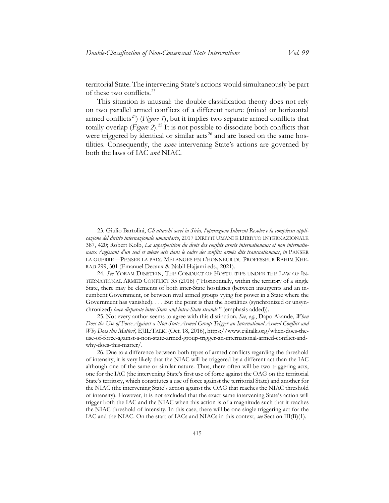<span id="page-8-5"></span>territorial State. The intervening State's actions would simultaneously be part of these two conflicts.[23](#page-8-0)

<span id="page-8-4"></span>This situation is unusual: the double classification theory does not rely on two parallel armed conflicts of a different nature (mixed or horizontal armed conflicts<sup>24</sup>) (*Figure 1*), but it implies two separate armed conflicts that totally overlap (*Figure 2*).[25](#page-8-2) It is not possible to dissociate both conflicts that were triggered by identical or similar acts<sup>[26](#page-8-3)</sup> and are based on the same hostilities. Consequently, the *same* intervening State's actions are governed by both the laws of IAC *and* NIAC.

<span id="page-8-0"></span><sup>23.</sup> Giulio Bartolini, *Gli attacchi aerei in Siria, l'operazione Inherent Resolve e la complessa applicazione del diritto internazionale umanitario*, 2017 DIRITTI UMANI E DIRITTO INTERNAZIONALE 387, 420; Robert Kolb, *La superposition du droit des conflits armés internationaux et non internationaux s'agissant d'un seul et même acte dans le cadre des conflits armés dits transnationaux*, *in* PANSER LA GUERRE—PENSER LA PAIX. MÉLANGES EN L'HONNEUR DU PROFESSEUR RAHIM KHE-RAD 299, 301 (Emanuel Decaux & Nabil Hajjami eds., 2021).

<span id="page-8-1"></span><sup>24.</sup> *See* YORAM DINSTEIN, THE CONDUCT OF HOSTILITIES UNDER THE LAW OF IN-TERNATIONAL ARMED CONFLICT 35 (2016) ("Horizontally, within the territory of a single State, there may be elements of both inter-State hostilities (between insurgents and an incumbent Government, or between rival armed groups vying for power in a State where the Government has vanished). . . . But the point is that the hostilities (synchronized or unsynchronized) *have disparate inter-State and intra-State strands.*" (emphasis added)).

<span id="page-8-2"></span><sup>25.</sup> Not every author seems to agree with this distinction. *See*, *e.g.*, Dapo Akande, *When Does the Use of Force Against a Non-State Armed Group Trigger an International Armed Conflict and Why Does this Matter?*, EJIL:TALK! (Oct. 18, 2016), https://www.ejiltalk.org/when-does-theuse-of-force-against-a-non-state-armed-group-trigger-an-international-armed-conflict-andwhy-does-this-matter/.

<span id="page-8-3"></span><sup>26.</sup> Due to a difference between both types of armed conflicts regarding the threshold of intensity, it is very likely that the NIAC will be triggered by a different act than the IAC although one of the same or similar nature. Thus, there often will be two triggering acts, one for the IAC (the intervening State's first use of force against the OAG on the territorial State's territory, which constitutes a use of force against the territorial State) and another for the NIAC (the intervening State's action against the OAG that reaches the NIAC threshold of intensity). However, it is not excluded that the exact same intervening State's action will trigger both the IAC and the NIAC when this action is of a magnitude such that it reaches the NIAC threshold of intensity. In this case, there will be one single triggering act for the IAC and the NIAC. On the start of IACs and NIACs in this context, *see* Section III(B)(1).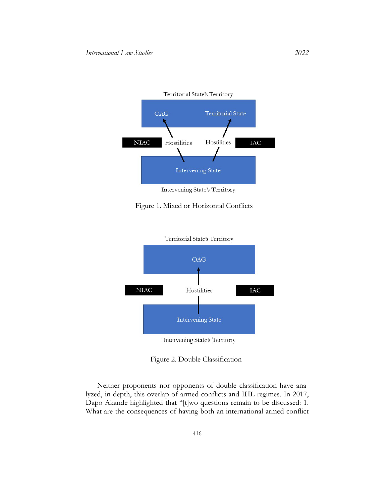

Intervening State's Territory

#### Figure 1. Mixed or Horizontal Conflicts



Figure 2. Double Classification

Neither proponents nor opponents of double classification have analyzed, in depth, this overlap of armed conflicts and IHL regimes. In 2017, Dapo Akande highlighted that "[t]wo questions remain to be discussed: 1. What are the consequences of having both an international armed conflict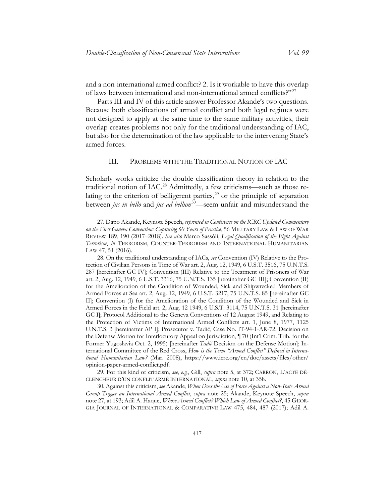and a non-international armed conflict? 2. Is it workable to have this overlap of laws between international and non-international armed conflicts?"[27](#page-10-2)

Parts III and IV of this article answer Professor Akande's two questions. Because both classifications of armed conflict and both legal regimes were not designed to apply at the same time to the same military activities, their overlap creates problems not only for the traditional understanding of IAC, but also for the determination of the law applicable to the intervening State's armed forces.

#### <span id="page-10-8"></span><span id="page-10-7"></span><span id="page-10-6"></span><span id="page-10-1"></span>III. PROBLEMS WITH THE TRADITIONAL NOTION OF IAC

<span id="page-10-0"></span>Scholarly works criticize the double classification theory in relation to the traditional notion of IAC.<sup>[28](#page-10-3)</sup> Admittedly, a few criticisms—such as those relating to the criterion of belligerent parties, $29$  or the principle of separation between *jus in bello* and *jus ad bellum*<sup>[30](#page-10-5)</sup>—seem unfair and misunderstand the

<span id="page-10-4"></span>29. For this kind of criticism, *see*, *e.g.*, Gill, *supra* note [5,](#page-3-3) at 372; CARRON, L'ACTE DÉ-CLENCHEUR D'UN CONFLIT ARMÉ INTERNATIONAL, *supra* note [10,](#page-4-4) at 358.

<span id="page-10-5"></span>30. Against this criticism, *see* Akande, *When Does the Use of Force Against a Non-State Armed Group Trigger an International Armed Conflict*, *supra* note [25;](#page-8-4) Akande, Keynote Speech, *supra* not[e 27,](#page-10-1) at 193; Adil A. Haque, *Whose Armed Conflict? Which Law of Armed Conflict?*, 45 GEOR-GIA JOURNAL OF INTERNATIONAL & COMPARATIVE LAW 475, 484, 487 (2017); Adil A.

<span id="page-10-2"></span><sup>27.</sup> Dapo Akande, Keynote Speech, *reprinted in Conference on the ICRC Updated Commentary on the First Geneva Convention: Capturing 60 Years of Practice*, 56 MILITARY LAW & LAW OF WAR REVIEW 189, 190 (2017–2018). *See also* Marco Sassòli, *Legal Qualification of the Fight Against Terrorism*, *in* TERRORISM, COUNTER-TERRORISM AND INTERNATIONAL HUMANITARIAN LAW 47, 51 (2016).

<span id="page-10-3"></span><sup>28.</sup> On the traditional understanding of IACs, *see* Convention (IV) Relative to the Protection of Civilian Persons in Time of War art. 2, Aug. 12, 1949, 6 U.S.T. 3516, 75 U.N.T.S. 287 [hereinafter GC IV]; Convention (III) Relative to the Treatment of Prisoners of War art. 2, Aug. 12, 1949, 6 U.S.T. 3316, 75 U.N.T.S. 135 [hereinafter GC III]; Convention (II) for the Amelioration of the Condition of Wounded, Sick and Shipwrecked Members of Armed Forces at Sea art. 2, Aug. 12, 1949, 6 U.S.T. 3217, 75 U.N.T.S. 85 [hereinafter GC II]; Convention (I) for the Amelioration of the Condition of the Wounded and Sick in Armed Forces in the Field art. 2, Aug. 12 1949, 6 U.S.T. 3114, 75 U.N.T.S. 31 [hereinafter GC I]; Protocol Additional to the Geneva Conventions of 12 August 1949, and Relating to the Protection of Victims of International Armed Conflicts art. 1, June 8, 1977, 1125 U.N.T.S. 3 [hereinafter AP I]; Prosecutor v. Tadić, Case No. IT-94-1-AR-72, Decision on the Defense Motion for Interlocutory Appeal on Jurisdiction, ¶ 70 (Int'l Crim. Trib. for the Former Yugoslavia Oct. 2, 1995) [hereinafter *Tadić* Decision on the Defense Motion]; International Committee of the Red Cross, *How is the Term "Armed Conflict" Defined in International Humanitarian Law?* (Mar. 2008), [https://www.icrc.org/en/doc/assets/files/other/](https://www.icrc.org/en/doc/assets/files/other/opinion-paper-armed-conflict.pdf)  [opinion-paper-armed-conflict.pdf.](https://www.icrc.org/en/doc/assets/files/other/opinion-paper-armed-conflict.pdf)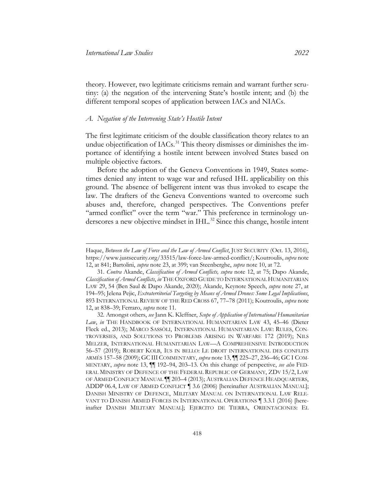theory. However, two legitimate criticisms remain and warrant further scrutiny: (a) the negation of the intervening State's hostile intent; and (b) the different temporal scopes of application between IACs and NIACs.

#### <span id="page-11-0"></span>*A. Negation of the Intervening State's Hostile Intent*

<span id="page-11-4"></span>The first legitimate criticism of the double classification theory relates to an undue objectification of IACs.<sup>[31](#page-11-1)</sup> This theory dismisses or diminishes the importance of identifying a hostile intent between involved States based on multiple objective factors.

Before the adoption of the Geneva Conventions in 1949, States sometimes denied any intent to wage war and refused IHL applicability on this ground. The absence of belligerent intent was thus invoked to escape the law. The drafters of the Geneva Conventions wanted to overcome such abuses and, therefore, changed perspectives. The Conventions prefer "armed conflict" over the term "war." This preference in terminology un-derscores a new objective mindset in IHL.<sup>[32](#page-11-2)</sup> Since this change, hostile intent

<span id="page-11-3"></span>Haque, *Between the Law of Force and the Law of Armed Conflict*, JUST SECURITY (Oct. 13, 2016), https://www.justsecurity.org/33515/law-force-law-armed-conflict/; Koutroulis, *supra* note [12,](#page-5-2) at 841; Bartolini, *supra* note [23,](#page-8-5) at 399; van Steenberghe, *supra* not[e 10,](#page-4-4) at 72.

<span id="page-11-1"></span><sup>31.</sup> *Contra* Akande, *Classification of Armed Conflicts, supra* note [12,](#page-5-2) at 75; Dapo Akande, *Classification of Armed Conflicts*, *in* THE OXFORD GUIDE TO INTERNATIONAL HUMANITARIAN LAW 29, 54 (Ben Saul & Dapo Akande, 2020); Akande, Keynote Speech, *supra* note [27,](#page-10-1) at 194–95; Jelena Pejic, *Extraterritorial Targeting by Means of Armed Drones: Some Legal Implications*, 893 INTERNATIONAL REVIEW OF THE RED CROSS 67, 77–78 (2011); Koutroulis, *supra* note [12,](#page-5-2) at 838–39; Ferraro, *supra* note [11.](#page-5-3)

<span id="page-11-2"></span><sup>32.</sup> Amongst others, *see* Jann K. Kleffner, *Scope of Application of International Humanitarian Law*, *in* THE HANDBOOK OF INTERNATIONAL HUMANITARIAN LAW 43, 45–46 (Dieter Fleck ed., 2013); MARCO SASSÒLI, INTERNATIONAL HUMANITARIAN LAW: RULES, CON-TROVERSIES, AND SOLUTIONS TO PROBLEMS ARISING IN WARFARE 172 (2019); NILS MELZER, INTERNATIONAL HUMANITARIAN LAW—A COMPREHENSIVE INTRODUCTION 56–57 (2019); ROBERT KOLB, IUS IN BELLO: LE DROIT INTERNATIONAL DES CONFLITS ARMÉS 157–58 (2009); GC III COMMENTARY, *supra* not[e 13,](#page-6-1) ¶¶ 225–27, 236–46; GC I COM-MENTARY, *supra* note [13,](#page-6-1) ¶¶ 192–94, 203–13. On this change of perspective, *see also* FED-ERAL MINISTRY OF DEFENCE OF THE FEDERAL REPUBLIC OF GERMANY, ZDV 15/2, LAW OF ARMED CONFLICT MANUAL ¶¶ 203–4 (2013); AUSTRALIAN DEFENCE HEADQUARTERS, ADDP 06.4, LAW OF ARMED CONFLICT ¶ 3.6 (2006) [hereinafter AUSTRALIAN MANUAL]; DANISH MINISTRY OF DEFENCE, MILITARY MANUAL ON INTERNATIONAL LAW RELE-VANT TO DANISH ARMED FORCES IN INTERNATIONAL OPERATIONS ¶ 3.3.1 (2016) [hereinafter DANISH MILITARY MANUAL]; EJERCITO DE TIERRA, ORIENTACIONES: EL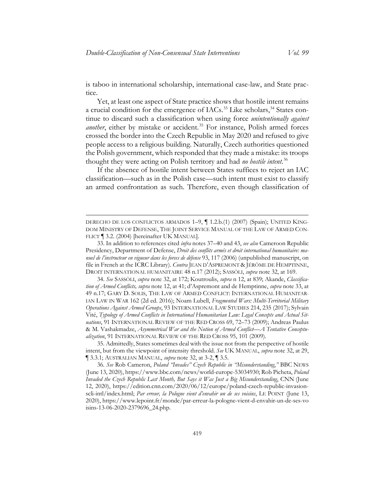is taboo in international scholarship, international case-law, and State practice.

<span id="page-12-0"></span>Yet, at least one aspect of State practice shows that hostile intent remains a crucial condition for the emergence of IACs.<sup>[33](#page-12-1)</sup> Like scholars,<sup>[34](#page-12-2)</sup> States continue to discard such a classification when using force *unintentionally against another*, either by mistake or accident.<sup>[35](#page-12-3)</sup> For instance, Polish armed forces crossed the border into the Czech Republic in May 2020 and refused to give people access to a religious building. Naturally, Czech authorities questioned the Polish government, which responded that they made a mistake: its troops thought they were acting on Polish territory and had *no hostile intent*. [36](#page-12-4)

If the absence of hostile intent between States suffices to reject an IAC classification—such as in the Polish case—such intent must exist to classify an armed confrontation as such. Therefore, even though classification of

<span id="page-12-2"></span>34. *See* SASSÒLI, *supra* note [32,](#page-11-3) at 172; Koutroulis, *supra* [n 12,](#page-5-2) at 839; Akande, *Classification of Armed Conflicts, supra* note [12,](#page-5-2) at 41; d'Aspremont and de Hemptinne, *supra* note [33,](#page-12-0) at 49 n.17; GARY D. SOLIS, THE LAW OF ARMED CONFLICT: INTERNATIONAL HUMANITAR-IAN LAW IN WAR 162 (2d ed. 2016); Noam Lubell, *Fragmented Wars: Multi-Territorial Military Operations Against Armed Groups*, 93 INTERNATIONAL LAW STUDIES 214, 235 (2017); Sylvain Vité, *Typology of Armed Conflicts in International Humanitarian Law: Legal Concepts and Actual Situations*, 91 INTERNATIONAL REVIEW OF THE RED CROSS 69, 72–73 (2009); Andreas Paulus & M. Vashakmadze, *Asymmetrical War and the Notion of Armed Conflict—A Tentative Conceptualization*, 91 INTERNATIONAL REVIEW OF THE RED CROSS 95, 101 (2009).

<span id="page-12-3"></span>35. Admittedly, States sometimes deal with the issue not from the perspective of hostile intent, but from the viewpoint of intensity threshold. *See* UK MANUAL, *supra* note [32,](#page-11-3) at 29, ¶ 3.3.1; AUSTRALIAN MANUAL, *supra* not[e 32,](#page-11-3) at 3-2, ¶ 3.5.

<span id="page-12-4"></span>36. *See* Rob Cameron, *Poland "Invades" Czech Republic in "Misunderstanding*,*"* BBC NEWS (June 13, 2020), https://www.bbc.com/news/world-europe-53034930; Rob Picheta, *Poland Invaded the Czech Republic Last Month, But Says it Was Just a Big Misunderstanding*, CNN (June 12, 2020), https://edition.cnn.com/2020/06/12/europe/poland-czech-republic-invasionscli-intl/index.html; *Par erreur, la Pologne vient d'envahir un de ses voisins*, LE POINT (June 13, 2020), [https://www.lepoint.fr/monde/par-erreur-la-pologne-vient-d-envahir-un-de-ses-vo](https://www.lepoint.fr/monde/par-erreur-la-pologne-vient-d-envahir-un-de-ses-voisins-13-06-2020-2379696_24.php)  [isins-13-06-2020-2379696\\_24.php.](https://www.lepoint.fr/monde/par-erreur-la-pologne-vient-d-envahir-un-de-ses-voisins-13-06-2020-2379696_24.php)

DERECHO DE LOS CONFLICTOS ARMADOS 1–9, ¶ 1.2.b.(1) (2007) (Spain); UNITED KING-DOM MINISTRY OF DEFENSE, THE JOINT SERVICE MANUAL OF THE LAW OF ARMED CON-FLICT ¶ 3.2. (2004) [hereinafter UK MANUAL].

<span id="page-12-1"></span><sup>33.</sup> In addition to references cited *infra* notes [37–](#page-13-0)[40](#page-13-1) an[d 43,](#page-13-2) *see also* Cameroon Republic Presidency, Department of Defense, *Droit des conflits armés et droit international humanitaire: manuel de l'instructeur en vigueur dans les forces de défense* 93, 117 (2006) (unpublished manuscript, on file in French at the ICRC Library). *Contra* JEAN D'ASPREMONT & JÉRÔME DE HEMPTINNE, DROIT INTERNATIONAL HUMANITAIRE 48 n.17 (2012); SASSÒLI, *supra* not[e 32,](#page-11-3) at 169.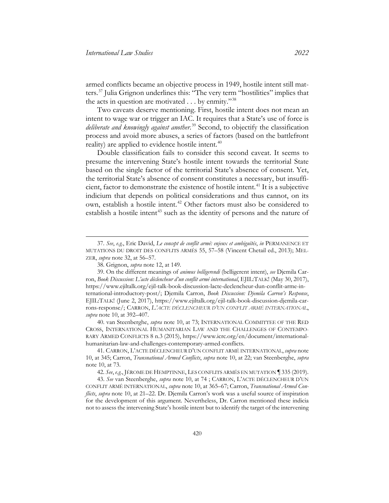<span id="page-13-0"></span>armed conflicts became an objective process in 1949, hostile intent still matters.[37](#page-13-3) Julia Grignon underlines this: "The very term "hostilities" implies that the acts in question are motivated . . . by enmity."[38](#page-13-4)

Two caveats deserve mentioning. First, hostile intent does not mean an intent to wage war or trigger an IAC. It requires that a State's use of force is *deliberate and knowingly against another*. [39](#page-13-5) Second, to objectify the classification process and avoid more abuses, a series of factors (based on the battlefront reality) are applied to evidence hostile intent.<sup>[40](#page-13-6)</sup>

<span id="page-13-1"></span>Double classification fails to consider this second caveat. It seems to presume the intervening State's hostile intent towards the territorial State based on the single factor of the territorial State's absence of consent. Yet, the territorial State's absence of consent constitutes a necessary, but insuffi-cient, factor to demonstrate the existence of hostile intent.<sup>[41](#page-13-7)</sup> It is a subjective indicium that depends on political considerations and thus cannot, on its own, establish a hostile intent. [42](#page-13-8) Other factors must also be considered to establish a hostile intent<sup>[43](#page-13-9)</sup> such as the identity of persons and the nature of

<span id="page-13-10"></span><span id="page-13-2"></span> $\overline{a}$ 

<span id="page-13-6"></span>40. van Steenberghe, *supra* note [10,](#page-4-4) at 73; INTERNATIONAL COMMITTEE OF THE RED CROSS, INTERNATIONAL HUMANITARIAN LAW AND THE CHALLENGES OF CONTEMPO-RARY ARMED CONFLICTS 8 n.3 (2015), https://www.icrc.org/en/document/internationalhumanitarian-law-and-challenges-contemporary-armed-conflicts.

42. *See*, *e.g.*, JÉROME DE HEMPTINNE, LES CONFLITS ARMÉS EN MUTATION ¶ 335 (2019).

<span id="page-13-9"></span><span id="page-13-8"></span>43. *See* van Steenberghe, *supra* note [10,](#page-4-4) at 74 ; CARRON, L'ACTE DÉCLENCHEUR D'UN CONFLIT ARMÉ INTERNATIONAL, *supra* note [10,](#page-4-4) at 365–67; Carron, *Transnational Armed Conflicts*, *supra* note [10,](#page-4-4) at 21–22. Dr. Djemila Carron's work was a useful source of inspiration for the development of this argument. Nevertheless, Dr. Carron mentioned these indicia not to assess the intervening State's hostile intent but to identify the target of the intervening

<span id="page-13-3"></span><sup>37.</sup> *See*, *e.g.*, Eric David, *Le concept de conflit armé: enjeux et ambiguïtés*, *in* PERMANENCE ET MUTATIONS DU DROIT DES CONFLITS ARMÉS 55, 57–58 (Vincent Chetail ed., 2013); MEL-ZER, *supra* note [32,](#page-11-3) at 56–57.

<sup>38.</sup> Grignon, *supra* not[e 12,](#page-5-2) at 149.

<span id="page-13-5"></span><span id="page-13-4"></span><sup>39.</sup> On the different meanings of *animus belligerendi* (belligerent intent), *see* Djemila Carron, *Book Discussion: L'acte déclencheur d'un conflit armé international*, EJIL:TALK! (May 30, 2017), https://www.ejiltalk.org/ejil-talk-book-discussion-lacte-declencheur-dun-conflit-arme-international-introductory-post/; Djemila Carron, *Book Discussion: Djemila Carron's Response*, EJIL:TALK! (June 2, 2017), https://www.ejiltalk.org/ejil-talk-book-discussion-djemila-carrons-response/; CARRON, *L'ACTE DÉCLENCHEUR D'UN CONFLIT ARMÉ INTERNATIONAL*, *supra* not[e 10,](#page-4-4) at 392–407.

<span id="page-13-7"></span><sup>41.</sup> CARRON, L'ACTE DÉCLENCHEUR D'UN CONFLIT ARMÉ INTERNATIONAL, *supra* note 10, at 345; Carron, *Transnational Armed Conflicts*, *supra* note [10,](#page-4-4) at 22; van Steenberghe, *supra* note [10,](#page-4-4) at 73.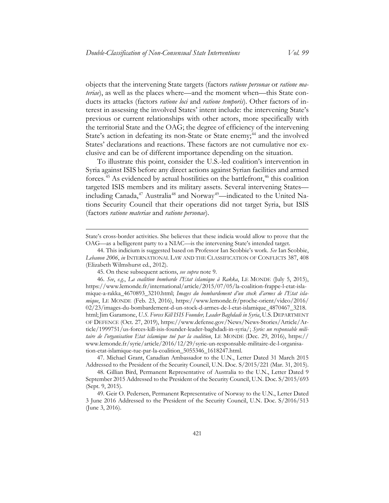objects that the intervening State targets (factors *ratione personae* or *ratione materiae*), as well as the places where—and the moment when—this State conducts its attacks (factors *ratione loci* and *ratione temporis*). Other factors of interest in assessing the involved States' intent include: the intervening State's previous or current relationships with other actors, more specifically with the territorial State and the OAG; the degree of efficiency of the intervening State's action in defeating its non-State or State enemy;<sup>[44](#page-14-0)</sup> and the involved States' declarations and reactions. These factors are not cumulative nor exclusive and can be of different importance depending on the situation.

To illustrate this point, consider the U.S.-led coalition's intervention in Syria against ISIS before any direct actions against Syrian facilities and armed forces.<sup>45</sup> As evidenced by actual hostilities on the battlefront,<sup>[46](#page-14-2)</sup> this coalition targeted ISIS members and its military assets. Several intervening States— including Canada,<sup>[47](#page-14-3)</sup> Australia<sup>[48](#page-14-4)</sup> and Norway<sup>49</sup>—indicated to the United Nations Security Council that their operations did not target Syria, but ISIS (factors *ratione materiae* and *ratione personae*).

State's cross-border activities. She believes that these indicia would allow to prove that the OAG—as a belligerent party to a NIAC—is the intervening State's intended target.

<span id="page-14-0"></span><sup>44.</sup> This indicium is suggested based on Professor Ian Scobbie's work. *See* Ian Scobbie, *Lebanon 2006*, *in* INTERNATIONAL LAW AND THE CLASSIFICATION OF CONFLICTS 387, 408 (Elizabeth Wilmshurst ed*.*, 2012).

<sup>45.</sup> On these subsequent actions, *see supra* not[e 9.](#page-4-5)

<span id="page-14-2"></span><span id="page-14-1"></span><sup>46.</sup> *See*, *e.g.*, *La coalition bombarde l'Etat islamique à Rakka*, LE MONDE (July 5, 2015), https://www.lemonde.fr/international/article/2015/07/05/la-coalition-frappe-l-etat-islamique-a-rakka\_4670893\_3210.html; *Images du bombardement d'un stock d'armes de l'Etat islamique*, LE MONDE (Feb. 23, 2016), https://www.lemonde.fr/proche-orient/video/2016/ 02/23/images-du-bombardement-d-un-stock-d-armes-de-l-etat-islamique\_4870467\_3218. html; Jim Garamone, *U.S. Forces Kill ISIS Founder, Leader Baghdadi in Syria*, U.S.DEPARTMENT OF DEFENCE (Oct. 27, 2019), https://www.defense.gov/News/News-Stories/Article/Article/1999751/us-forces-kill-isis-founder-leader-baghdadi-in-syria/; *Syrie: un responsable militaire de l'organisation Etat islamique tué par la coalition*, LE MONDE (Dec. 29, 2016), https:// www.lemonde.fr/syrie/article/2016/12/29/syrie-un-responsable-militaire-de-l-organisation-etat-islamique-tue-par-la-coalition\_5055346\_1618247.html.

<span id="page-14-3"></span><sup>47.</sup> Michael Grant, Canadian Ambassador to the U.N., Letter Dated 31 March 2015 Addressed to the President of the Security Council, U.N. Doc. S/2015/221 (Mar. 31, 2015).

<span id="page-14-4"></span><sup>48.</sup> Gillian Bird, Permanent Representative of Australia to the U.N., Letter Dated 9 September 2015 Addressed to the President of the Security Council, U.N. Doc. S/2015/693 (Sept. 9, 2015).

<span id="page-14-5"></span><sup>49.</sup> Geir O. Pedersen, Permanent Representative of Norway to the U.N., Letter Dated 3 June 2016 Addressed to the President of the Security Council, U.N. Doc. S/2016/513 (June 3, 2016).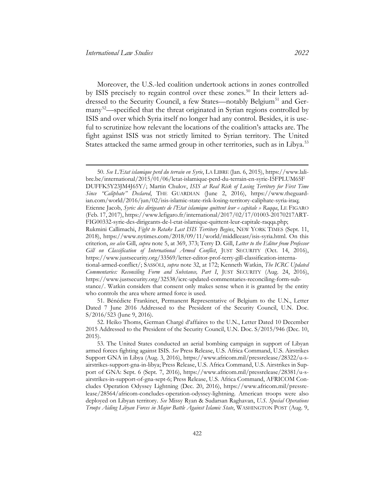Moreover, the U.S.-led coalition undertook actions in zones controlled by ISIS precisely to regain control over these zones.<sup>[50](#page-15-0)</sup> In their letters ad-dressed to the Security Council, a few States—notably Belgium<sup>[51](#page-15-1)</sup> and Ger-many<sup>[52](#page-15-2)</sup>—specified that the threat originated in Syrian regions controlled by ISIS and over which Syria itself no longer had any control. Besides, it is useful to scrutinize how relevant the locations of the coalition's attacks are. The fight against ISIS was not strictly limited to Syrian territory. The United States attacked the same armed group in other territories, such as in Libya.<sup>[53](#page-15-3)</sup>

<span id="page-15-0"></span><sup>50.</sup> *See L'Etat islamique perd du terrain en Syrie*, LA LIBRE (Jan. 6, 2015), https://www.lalibre.be/international/2015/01/06/letat-islamique-perd-du-terrain-en-syrie-I5FPLUM65F DUFFK5Y23JM4J65Y/; Martin Chulov, *ISIS at Real Risk of Losing Territory for First Time Since "Caliphate" Declared*, THE GUARDIAN (June 2, 2016), https://www.theguardian.com/world/2016/jun/02/isis-islamic-state-risk-losing-territory-caliphate-syria-iraq; Etienne Jacob, *Syrie: des dirigeants de l'Etat islamique quittent leur « capitale » Raqqa*, LE FIGARO (Feb. 17, 2017), https://www.lefigaro.fr/international/2017/02/17/01003-20170217ART-FIG00332-syrie-des-dirigeants-de-l-etat-islamique-quittent-leur-capitale-raqqa.php; Rukmini Callimachi, *Fight to Retake Last ISIS Territory Begins*, NEW YORK TIMES (Sept. 11, 2018), [https://www.nytimes.com/2018/09/11/world/middleeast/isis-syria.html.](https://www.nytimes.com/2018/09/11/world/middleeast/isis-syria.html) On this criterion, *see also* Gill, *supra* note [5,](#page-3-3) at 369, 373; Terry D. Gill, *Letter to the Editor from Professor Gill on Classification of International Armed Conflict*, JUST SECURITY (Oct. 14, 2016), https://www.justsecurity.org/33569/letter-editor-prof-terry-gill-classification-international-armed-conflict/; SASSÒLI, *supra* note [32,](#page-11-3) at 172; Kenneth Watkin, *The ICRC Updated Commentaries: Reconciling Form and Substance, Part I*, JUST SECURITY (Aug. 24, 2016), [https://www.justsecurity.org/32538/icrc-updated-commentaries-reconciling-form-sub-](https://www.justsecurity.org/32538/icrc-updated-commentaries-reconciling-form-substance/)

[stance/.](https://www.justsecurity.org/32538/icrc-updated-commentaries-reconciling-form-substance/) Watkin considers that consent only makes sense when it is granted by the entity who controls the area where armed force is used.

<span id="page-15-1"></span><sup>51.</sup> Bénédicte Frankinet, Permanent Representative of Belgium to the U.N., Letter Dated 7 June 2016 Addressed to the President of the Security Council, U.N. Doc. S/2016/523 (June 9, 2016).

<span id="page-15-2"></span><sup>52.</sup> Heiko Thoms, German Chargé d'affaires to the U.N., Letter Dated 10 December 2015 Addressed to the President of the Security Council, U.N. Doc. S/2015/946 (Dec. 10, 2015).

<span id="page-15-3"></span><sup>53.</sup> The United States conducted an aerial bombing campaign in support of Libyan armed forces fighting against ISIS. *See* Press Release, U.S. Africa Command, U.S. Airstrikes Support GNA in Libya (Aug. 3, 2016), https://www.africom.mil/pressrelease/28322/u-sairstrikes-support-gna-in-libya; Press Release, U.S. Africa Command, U.S. Airstrikes in Support of GNA: Sept. 6 (Sept. 7, 2016), https://www.africom.mil/pressrelease/28381/u-sairstrikes-in-support-of-gna-sept-6; Press Release, U.S. Africa Command, AFRICOM Concludes Operation Odyssey Lightning (Dec. 20, 2016), https://www.africom.mil/pressrelease/28564/africom-concludes-operation-odyssey-lightning. American troops were also deployed on Libyan territory. *See* Missy Ryan & Sudarsan Raghavan, *U.S. Special Operations Troops Aiding Libyan Forces in Major Battle Against Islamic State*, WASHINGTON POST (Aug. 9,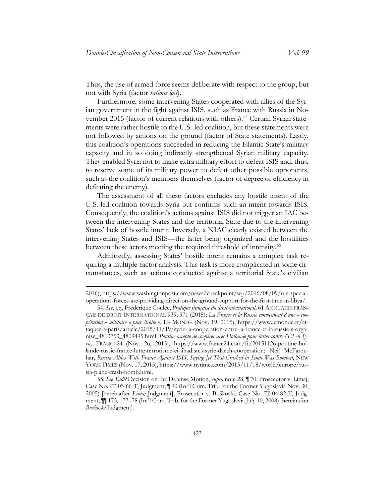Thus, the use of armed force seems deliberate with respect to the group, but not with Syria (factor *ratione loci*).

Furthermore, some intervening States cooperated with allies of the Syrian government in the fight against ISIS, such as France with Russia in No-vember 2015 (factor of current relations with others).<sup>[54](#page-16-0)</sup> Certain Syrian statements were rather hostile to the U.S.-led coalition, but these statements were not followed by actions on the ground (factor of State statements). Lastly, this coalition's operations succeeded in reducing the Islamic State's military capacity and in so doing indirectly strengthened Syrian military capacity. They enabled Syria not to make extra military effort to defeat ISIS and, thus, to reserve some of its military power to defeat other possible opponents, such as the coalition's members themselves (factor of degree of efficiency in defeating the enemy).

The assessment of all these factors excludes any hostile intent of the U.S.-led coalition towards Syria but confirms such an intent towards ISIS. Consequently, the coalition's actions against ISIS did not trigger an IAC between the intervening States and the territorial State due to the intervening States' lack of hostile intent. Inversely, a NIAC clearly existed between the intervening States and ISIS—the latter being organized and the hostilities between these actors meeting the required threshold of intensity.<sup>[55](#page-16-1)</sup>

<span id="page-16-2"></span>Admittedly, assessing States' hostile intent remains a complex task requiring a multiple-factor analysis. This task is more complicated in some circumstances, such as actions conducted against a territorial State's civilian

<sup>2016),</sup> https://www.washingtonpost.com/news/checkpoint/wp/2016/08/09/u-s-specialoperations-forces-are-providing-direct-on-the-ground-support-for-the-first-time-in-libya/.

<span id="page-16-0"></span><sup>54.</sup> *See*, *e.g.*, Frédérique Coulée, *Pratique française du droit international*, 61 ANNUAIRE FRAN-ÇAIS DE DROIT INTERNATIONAL 939, 971 (2015); *La France et la Russie conviennent d'une « coopération » militaire « plus étroite »*, LE MONDE (Nov. 19, 2015), https://www.lemonde.fr/attaques-a-paris/article/2015/11/19/syrie-la-cooperation-entre-la-france-et-la-russie-s-organise\_4813753\_4809495.html; *Poutine accepte de coopérer avec Hollande pour lutter contre l'EI en Syrie*, FRANCE24 (Nov. 26, 2015), https://www.france24.com/fr/20151126-poutine-hollande-russie-france-lutte-terrorisme-ei-jihadistes-syrie-daech-cooperation; Neil McFarquhar, *Russia Allies With France Against ISIS, Saying Jet That Crashed in Sinai Was Bombed*, NEW YORK TIMES (Nov. 17, 2015), https://www.nytimes.com/2015/11/18/world/europe/russia-plane-crash-bomb.html.

<span id="page-16-1"></span><sup>55.</sup> *See Tadić* Decision on the Defense Motion, *supra* not[e 28,](#page-10-6) ¶ 70; Prosecutor v. Limaj, Case No. IT-03-66-T, Judgment, ¶ 90 (Int'l Crim. Trib. for the Former Yugoslavia Nov. 30, 2005) [hereinafter *Limaj* Judgment]; Prosecutor v. Boškoski, Case No. IT-04-82-T, Judgment, ¶¶ 175, 177–78 (Int'l Crim. Trib. for the Former Yugoslavia July 10, 2008) [hereinafter *Boškoski* Judgment].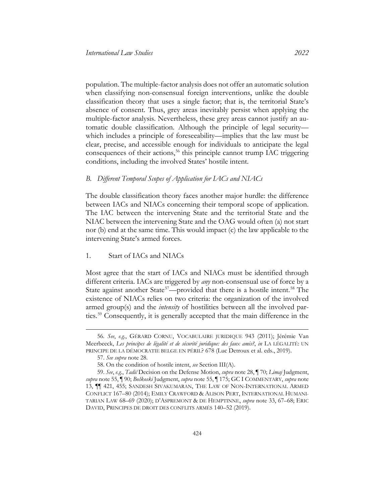population. The multiple-factor analysis does not offer an automatic solution when classifying non-consensual foreign interventions, unlike the double classification theory that uses a single factor; that is, the territorial State's absence of consent. Thus, grey areas inevitably persist when applying the multiple-factor analysis. Nevertheless, these grey areas cannot justify an automatic double classification. Although the principle of legal security which includes a principle of foreseeability—implies that the law must be clear, precise, and accessible enough for individuals to anticipate the legal consequences of their actions,<sup>[56](#page-17-1)</sup> this principle cannot trump IAC triggering conditions, including the involved States' hostile intent.

#### <span id="page-17-0"></span>*B. Different Temporal Scopes of Application for IACs and NIACs*

The double classification theory faces another major hurdle: the difference between IACs and NIACs concerning their temporal scope of application. The IAC between the intervening State and the territorial State and the NIAC between the intervening State and the OAG would often (a) not start nor (b) end at the same time. This would impact (c) the law applicable to the intervening State's armed forces.

#### 1. Start of IACs and NIACs

Most agree that the start of IACs and NIACs must be identified through different criteria. IACs are triggered by *any* non-consensual use of force by a State against another State<sup>[57](#page-17-2)</sup>—provided that there is a hostile intent.<sup>[58](#page-17-3)</sup> The existence of NIACs relies on two criteria: the organization of the involved armed group(s) and the *intensity* of hostilities between all the involved parties. [59](#page-17-4) Consequently, it is generally accepted that the main difference in the

<span id="page-17-5"></span><span id="page-17-1"></span><sup>56.</sup> *See*, *e.g.*, GÉRARD CORNU, VOCABULAIRE JURIDIQUE 943 (2011); Jérémie Van Meerbeeck, *Les principes de légalité et de sécurité juridique: des faux amis?*, *in* LA LÉGALITÉ: UN PRINCIPE DE LA DÉMOCRATIE BELGE EN PÉRIL? 678 (Luc Detroux et al. eds., 2019).

<sup>57.</sup> *See supra* note [28.](#page-10-6)

<sup>58.</sup> On the condition of hostile intent, *see* Section III(A).

<span id="page-17-4"></span><span id="page-17-3"></span><span id="page-17-2"></span><sup>59.</sup> *See*, *e.g.*, *Tadić* Decision on the Defense Motion, *supra* note [28,](#page-10-6) ¶ 70; *Limaj* Judgment, *supra* note [55,](#page-16-2) ¶ 90; *Boškoski* Judgment, *supra* note [55,](#page-16-2) ¶ 175; GC I COMMENTARY, *supra* note [13,](#page-6-1) ¶¶ 421, 455; SANDESH SIVAKUMARAN, THE LAW OF NON-INTERNATIONAL ARMED CONFLICT 167–80 (2014); EMILY CRAWFORD & ALISON PERT, INTERNATIONAL HUMANI-TARIAN LAW 68–69 (2020); D'ASPREMONT & DE HEMPTINNE, *supra* note [33,](#page-12-0) 67–68; ERIC DAVID, PRINCIPES DE DROIT DES CONFLITS ARMÉS 140–52 (2019).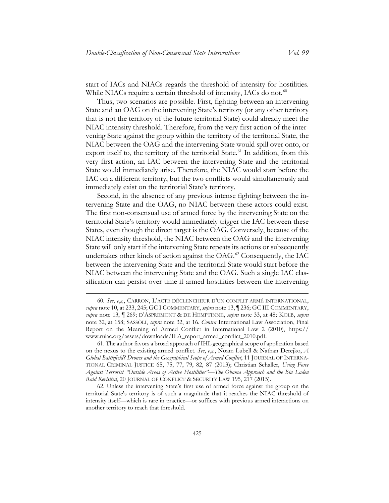start of IACs and NIACs regards the threshold of intensity for hostilities. While NIACs require a certain threshold of intensity, IACs do not. $60$ 

Thus, two scenarios are possible. First, fighting between an intervening State and an OAG on the intervening State's territory (or any other territory that is not the territory of the future territorial State) could already meet the NIAC intensity threshold. Therefore, from the very first action of the intervening State against the group within the territory of the territorial State, the NIAC between the OAG and the intervening State would spill over onto, or export itself to, the territory of the territorial State.<sup>[61](#page-18-1)</sup> In addition, from this very first action, an IAC between the intervening State and the territorial State would immediately arise. Therefore, the NIAC would start before the IAC on a different territory, but the two conflicts would simultaneously and immediately exist on the territorial State's territory.

Second, in the absence of any previous intense fighting between the intervening State and the OAG, no NIAC between these actors could exist. The first non-consensual use of armed force by the intervening State on the territorial State's territory would immediately trigger the IAC between these States, even though the direct target is the OAG. Conversely, because of the NIAC intensity threshold, the NIAC between the OAG and the intervening State will only start if the intervening State repeats its actions or subsequently undertakes other kinds of action against the OAG.<sup>[62](#page-18-2)</sup> Consequently, the IAC between the intervening State and the territorial State would start before the NIAC between the intervening State and the OAG. Such a single IAC classification can persist over time if armed hostilities between the intervening

<span id="page-18-0"></span><sup>60.</sup> *See*, *e.g.*, CARRON, L'ACTE DÉCLENCHEUR D'UN CONFLIT ARMÉ INTERNATIONAL, *supra* note [10,](#page-4-4) at 233, 245; GC I COMMENTARY, *supra* not[e 13,](#page-6-1) ¶ 236; GC III COMMENTARY, *supra* note [13,](#page-6-1) ¶ 269; D'ASPREMONT & DE HEMPTINNE, *supra* note [33,](#page-12-0) at 48; KOLB, *supra* note [32,](#page-11-3) at 158; SASSÒLI, *supra* note [32,](#page-11-3) at 16. *Contra* International Law Association, Final Report on the Meaning of Armed Conflict in International Law 2 (2010), [https://](https://www.rulac.org/assets/downloads/ILA_report_armed_conflict_2010.pdf)  [www.rulac.org/assets/downloads/ILA\\_report\\_armed\\_conflict\\_2010.pdf.](https://www.rulac.org/assets/downloads/ILA_report_armed_conflict_2010.pdf)

<span id="page-18-1"></span><sup>61.</sup> The author favors a broad approach of IHL geographical scope of application based on the nexus to the existing armed conflict. *See*, *e.g.*, Noam Lubell & Nathan Derejko, *A Global Battlefield? Drones and the Geographical Scope of Armed Conflict*, 11 JOURNAL OF INTERNA-TIONAL CRIMINAL JUSTICE 65, 75, 77, 79, 82, 87 (2013); Christian Schaller, *Using Force Against Terrorist "Outside Areas of Active Hostilities"—The Obama Approach and the Bin Laden Raid Revisited*, 20 JOURNAL OF CONFLICT & SECURITY LAW 195, 217 (2015).

<span id="page-18-2"></span><sup>62.</sup> Unless the intervening State's first use of armed force against the group on the territorial State's territory is of such a magnitude that it reaches the NIAC threshold of intensity itself—which is rare in practice—or suffices with previous armed interactions on another territory to reach that threshold.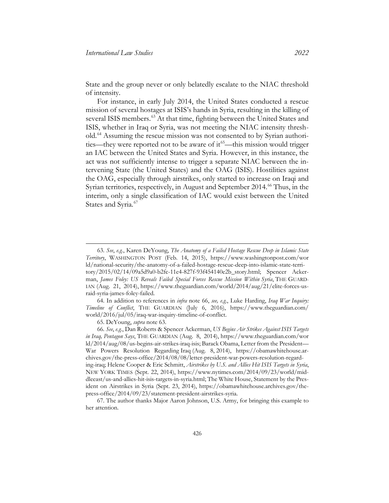State and the group never or only belatedly escalate to the NIAC threshold of intensity.

<span id="page-19-1"></span>For instance, in early July 2014, the United States conducted a rescue mission of several hostages at ISIS's hands in Syria, resulting in the killing of several ISIS members.<sup>[63](#page-19-2)</sup> At that time, fighting between the United States and ISIS, whether in Iraq or Syria, was not meeting the NIAC intensity threshold.[64](#page-19-3) Assuming the rescue mission was not consented to by Syrian authorities—they were reported not to be aware of it<sup>65</sup>—this mission would trigger an IAC between the United States and Syria. However, in this instance, the act was not sufficiently intense to trigger a separate NIAC between the intervening State (the United States) and the OAG (ISIS). Hostilities against the OAG, especially through airstrikes, only started to increase on Iraqi and Syrian territories, respectively, in August and September 2014.<sup>[66](#page-19-5)</sup> Thus, in the interim, only a single classification of IAC would exist between the United States and Syria.<sup>[67](#page-19-6)</sup>

<span id="page-19-3"></span>64. In addition to references in *infra* note [66,](#page-19-0) *see, e.g.*, Luke Harding, *Iraq War Inquiry: Timeline of Conflict*, THE GUARDIAN (July 6, 2016), [https://www.theguardian.com/](https://www.theguardian.com/world/2016/jul/05/iraq-war-inquiry-timeline-of-conflict)  [world/2016/jul/05/iraq-war-inquiry-timeline-of-conflict.](https://www.theguardian.com/world/2016/jul/05/iraq-war-inquiry-timeline-of-conflict) 

65. DeYoung, *supra* note [63.](#page-19-1)

<span id="page-19-2"></span><span id="page-19-0"></span><sup>63.</sup> *See*, *e.g.*, Karen DeYoung, *The Anatomy of a Failed Hostage Rescue Deep in Islamic State Territory*, WASHINGTON POST (Feb. 14, 2015), [https://www.washingtonpost.com/wor](https://www.washingtonpost.com/world/national-security/the-anatomy-of-a-failed-hostage-rescue-deep-into-islamic-state-territory/2015/02/14/09a5d9a0-b2fc-11e4-827f-93f454140e2b_story.html)  [ld/national-security/the-anatomy-of-a-failed-hostage-rescue-deep-into-islamic-state-terri](https://www.washingtonpost.com/world/national-security/the-anatomy-of-a-failed-hostage-rescue-deep-into-islamic-state-territory/2015/02/14/09a5d9a0-b2fc-11e4-827f-93f454140e2b_story.html)[tory/2015/02/14/09a5d9a0-b2fc-11e4-827f-93f454140e2b\\_story.html;](https://www.washingtonpost.com/world/national-security/the-anatomy-of-a-failed-hostage-rescue-deep-into-islamic-state-territory/2015/02/14/09a5d9a0-b2fc-11e4-827f-93f454140e2b_story.html) Spencer Ackerman, *James Foley: US Reveals Failed Special Forces Rescue Mission Within Syria*, THE GUARD-IAN (Aug. 21, 2014), [https://www.theguardian.com/world/2014/aug/21/elite-forces-us](https://www.theguardian.com/world/2014/aug/21/elite-forces-us-raid-syria-james-foley-failed)[raid-syria-james-foley-failed.](https://www.theguardian.com/world/2014/aug/21/elite-forces-us-raid-syria-james-foley-failed) 

<span id="page-19-5"></span><span id="page-19-4"></span><sup>66.</sup> *See*, *e.g.*, Dan Roberts & Spencer Ackerman, *US Begins Air Strikes Against ISIS Targets in Iraq, Pentagon Says*, THE GUARDIAN (Aug. 8, 2014), [https://www.theguardian.com/wor](https://www.theguardian.com/world/2014/aug/08/us-begins-air-strikes-iraq-isis)  [ld/2014/aug/08/us-begins-air-strikes-iraq-isis;](https://www.theguardian.com/world/2014/aug/08/us-begins-air-strikes-iraq-isis) Barack Obama, Letter from the President— War Powers Resolution Regarding Iraq (Aug. 8, 2014), [https://obamawhitehouse.ar](https://obamawhitehouse.archives.gov/the-press-office/2014/08/08/letter-president-war-powers-resolution-regarding-iraq)[chives.gov/the-press-office/2014/08/08/letter-president-war-powers-resolution-regard](https://obamawhitehouse.archives.gov/the-press-office/2014/08/08/letter-president-war-powers-resolution-regarding-iraq)[ing-iraq;](https://obamawhitehouse.archives.gov/the-press-office/2014/08/08/letter-president-war-powers-resolution-regarding-iraq) Helene Cooper & Eric Schmitt, *Airstrikes by U.S. and Allies Hit ISIS Targets in Syria*, NEW YORK TIMES (Sept. 22, 2014), [https://www.nytimes.com/2014/09/23/world/mid](https://www.nytimes.com/2014/09/23/world/middleeast/us-and-allies-hit-isis-targets-in-syria.html)[dleeast/us-and-allies-hit-isis-targets-in-syria.html;](https://www.nytimes.com/2014/09/23/world/middleeast/us-and-allies-hit-isis-targets-in-syria.html) The White House, Statement by the President on Airstrikes in Syria (Sept. 23, 2014), [https://obamawhitehouse.archives.gov/the](https://obamawhitehouse.archives.gov/the-press-office/2014/09/23/statement-president-airstrikes-syria)[press-office/2014/09/23/statement-president-airstrikes-syria.](https://obamawhitehouse.archives.gov/the-press-office/2014/09/23/statement-president-airstrikes-syria) 

<span id="page-19-6"></span><sup>67.</sup> The author thanks Major Aaron Johnson, U.S. Army, for bringing this example to her attention.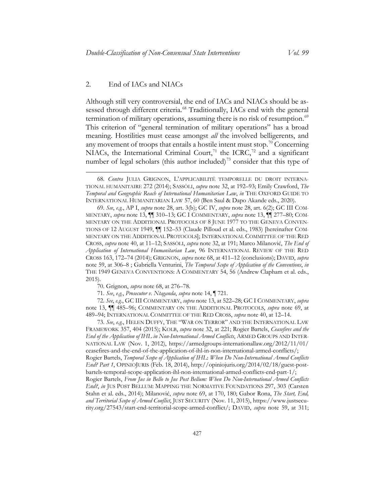#### 2. End of IACs and NIACs

<span id="page-20-8"></span> $\overline{a}$ 

<span id="page-20-1"></span><span id="page-20-0"></span>Although still very controversial, the end of IACs and NIACs should be as-sessed through different criteria.<sup>[68](#page-20-2)</sup> Traditionally, IACs end with the general termination of military operations, assuming there is no risk of resumption.<sup>[69](#page-20-3)</sup> This criterion of "general termination of military operations" has a broad meaning. Hostilities must cease amongst *all* the involved belligerents, and any movement of troops that entails a hostile intent must stop.<sup>[70](#page-20-4)</sup> Concerning NIACs, the International Criminal Court,<sup>[71](#page-20-5)</sup> the ICRC,<sup>[72](#page-20-6)</sup> and a significant number of legal scholars (this author included)<sup>[73](#page-20-7)</sup> consider that this type of

<span id="page-20-6"></span><span id="page-20-5"></span><span id="page-20-4"></span>72. *See*, *e.g.*, GC III COMMENTARY, *supra* note [13,](#page-6-1) at 522–28; GC I COMMENTARY, *supra* note [13,](#page-6-1) ¶¶ 485–96; COMMENTARY ON THE ADDITIONAL PROTOCOLS, *supra* note [69,](#page-20-1) at 489–94; INTERNATIONAL COMMITTEE OF THE RED CROSS, *supra* note [40,](#page-13-1) at 12–14.

<span id="page-20-7"></span>73. *See*, *e.g.*, HELEN DUFFY, THE "WAR ON TERROR" AND THE INTERNATIONAL LAW FRAMEWORK 357, 404 (2015); KOLB, *supra* note [32,](#page-11-3) at 221; Rogier Bartels, *Ceasefires and the End of the Application of IHL in Non-International Armed Conflicts*, ARMED GROUPS AND INTER-NATIONAL LAW (Nov. 1, 2012), [https://armedgroups-internationallaw.org/2012/11/01/](https://armedgroups-internationallaw.org/2012/11/01/ceasefires-and-the-end-of-the-application-of-ihl-in-non-international-armed-conflicts/)  [ceasefires-and-the-end-of-the-application-of-ihl-in-non-international-armed-conflicts/;](https://armedgroups-internationallaw.org/2012/11/01/ceasefires-and-the-end-of-the-application-of-ihl-in-non-international-armed-conflicts/)  Rogier Bartels, *Temporal Scope of Application of IHL*: *When Do Non-International Armed Conflicts End? Part 1*, OPINIOJURIS (Feb. 18, 2014), http://opiniojuris.org/2014/02/18/guest-postbartels-temporal-scope-application-ihl-non-international-armed-conflicts-end-part-1/; Rogier Bartels, *From Jus in Bello to Jus Post Bellum: When Do Non-International Armed Conflicts End?*, *in* JUS POST BELLUM: MAPPING THE NORMATIVE FOUNDATIONS 297, 303 (Carsten Stahn et al. eds., 2014); Milanović, *supra* note [69,](#page-20-1) at 170, 180; Gabor Rona, *The Start, End, and Territorial Scope of Armed Conflict*, JUST SECURITY (Nov. 11, 2015), https://www.justsecurity.org/27543/start-end-territorial-scope-armed-conflict/; DAVID, *supra* note [59,](#page-17-5) at 311;

<span id="page-20-2"></span><sup>68.</sup> *Contra* JULIA GRIGNON, L'APPLICABILITÉ TEMPORELLE DU DROIT INTERNA-TIONAL HUMANITAIRE 272 (2014); SASSÒLI, *supra* note [32,](#page-11-3) at 192–93; Emily Crawford, *The Temporal and Geographic Reach of International Humanitarian Law*, *in* THE OXFORD GUIDE TO INTERNATIONAL HUMANITARIAN LAW 57, 60 (Ben Saul & Dapo Akande eds., 2020).

<span id="page-20-3"></span><sup>69.</sup> *See*, *e.g.*, AP I, *supra* note [28,](#page-10-6) art. 3(b); GC IV, *supra* note [28,](#page-10-6) art. 6(2); GC III COM-MENTARY, *supra* note [13,](#page-6-1) ¶¶ 310–13; GC I COMMENTARY, *supra* note [13,](#page-6-1) ¶¶ 277–80; COM-MENTARY ON THE ADDITIONAL PROTOCOLS OF 8 JUNE 1977 TO THE GENEVA CONVEN-TIONS OF 12 AUGUST 1949, ¶¶ 152–53 (Claude Pilloud et al. eds., 1983) [hereinafter COM-MENTARY ON THE ADDITIONAL PROTOCOLS]; INTERNATIONAL COMMITTEE OF THE RED CROSS, *supra* not[e 40,](#page-13-1) at 11–12; SASSÒLI, *supra* note [32](#page-11-3), at 191; Marco Milanović, *The End of Application of International Humanitarian Law*, 96 INTERNATIONAL REVIEW OF THE RED CROSS 163, 172–74 (2014); GRIGNON, *supra* note [68,](#page-20-0) at 411–12 (conclusions); DAVID, *supra*  note [59,](#page-17-5) at 306–8 ; Gabriella Venturini, *The Temporal Scope of Application of the Conventions*, *in* THE 1949 GENEVA CONVENTIONS: A COMMENTARY 54, 56 (Andrew Clapham et al. eds., 2015).

<sup>70.</sup> Grignon, *supra* not[e 68,](#page-20-0) at 276–78.

<sup>71.</sup> *See*, *e.g.*, *Prosecutor v. Ntaganda*, *supra* not[e 14,](#page-6-6) ¶ 721.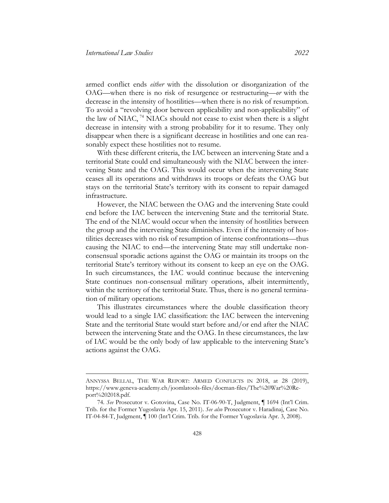armed conflict ends *either* with the dissolution or disorganization of the OAG—when there is no risk of resurgence or restructuring—*or* with the decrease in the intensity of hostilities—when there is no risk of resumption. To avoid a "revolving door between applicability and non-applicability" of the law of NIAC, [74](#page-21-0) NIACs should not cease to exist when there is a slight decrease in intensity with a strong probability for it to resume. They only disappear when there is a significant decrease in hostilities and one can reasonably expect these hostilities not to resume.

With these different criteria, the IAC between an intervening State and a territorial State could end simultaneously with the NIAC between the intervening State and the OAG. This would occur when the intervening State ceases all its operations and withdraws its troops or defeats the OAG but stays on the territorial State's territory with its consent to repair damaged infrastructure.

However, the NIAC between the OAG and the intervening State could end before the IAC between the intervening State and the territorial State. The end of the NIAC would occur when the intensity of hostilities between the group and the intervening State diminishes. Even if the intensity of hostilities decreases with no risk of resumption of intense confrontations—thus causing the NIAC to end—the intervening State may still undertake nonconsensual sporadic actions against the OAG or maintain its troops on the territorial State's territory without its consent to keep an eye on the OAG. In such circumstances, the IAC would continue because the intervening State continues non-consensual military operations, albeit intermittently, within the territory of the territorial State. Thus, there is no general termination of military operations.

This illustrates circumstances where the double classification theory would lead to a single IAC classification: the IAC between the intervening State and the territorial State would start before and/or end after the NIAC between the intervening State and the OAG. In these circumstances, the law of IAC would be the only body of law applicable to the intervening State's actions against the OAG.

ANNYSSA BELLAL, THE WAR REPORT: ARMED CONFLICTS IN 2018, at 28 (2019), https://www.geneva-academy.ch/joomlatools-files/docman-files/The%20War%20Report%202018.pdf.

<span id="page-21-0"></span><sup>74.</sup> *See* Prosecutor v. Gotovina, Case No. IT-06-90-T, Judgment, ¶ 1694 (Int'l Crim. Trib. for the Former Yugoslavia Apr. 15, 2011). *See also* Prosecutor v. Haradinaj, Case No. IT-04-84-T, Judgment, ¶ 100 (Int'l Crim. Trib. for the Former Yugoslavia Apr. 3, 2008).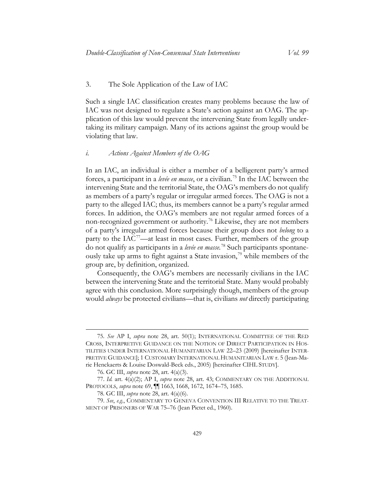#### 3. The Sole Application of the Law of IAC

Such a single IAC classification creates many problems because the law of IAC was not designed to regulate a State's action against an OAG. The application of this law would prevent the intervening State from legally undertaking its military campaign. Many of its actions against the group would be violating that law.

#### *i. Actions Against Members of the OAG*

<span id="page-22-6"></span><span id="page-22-5"></span>In an IAC, an individual is either a member of a belligerent party's armed forces, a participant in a *levée en masse*, or a civilian.[75](#page-22-0) In the IAC between the intervening State and the territorial State, the OAG's members do not qualify as members of a party's regular or irregular armed forces. The OAG is not a party to the alleged IAC; thus, its members cannot be a party's regular armed forces. In addition, the OAG's members are not regular armed forces of a non-recognized government or authority.[76](#page-22-1) Likewise, they are not members of a party's irregular armed forces because their group does not *belong* to a party to the  $IAC^{77}$ —at least in most cases. Further, members of the group do not qualify as participants in a *levée en masse.* [78](#page-22-3) Such participants spontane-ously take up arms to fight against a State invasion,<sup>[79](#page-22-4)</sup> while members of the group are, by definition, organized.

Consequently, the OAG's members are necessarily civilians in the IAC between the intervening State and the territorial State. Many would probably agree with this conclusion. More surprisingly though, members of the group would *always* be protected civilians—that is, civilians *not* directly participating

<span id="page-22-0"></span><sup>75.</sup> *See* AP I, *supra* note [28,](#page-10-6) art. 50(1); INTERNATIONAL COMMITTEE OF THE RED CROSS, INTERPRETIVE GUIDANCE ON THE NOTION OF DIRECT PARTICIPATION IN HOS-TILITIES UNDER INTERNATIONAL HUMANITARIAN LAW 22–23 (2009) [hereinafter INTER-PRETIVE GUIDANCE]; 1 CUSTOMARY INTERNATIONAL HUMANITARIAN LAW r. 5 (Jean-Marie Henckaerts & Louise Doswald-Beck eds., 2005) [hereinafter CIHL STUDY].

<sup>76.</sup> GC III, *supra* not[e 28,](#page-10-6) art. 4(a)(3).

<span id="page-22-2"></span><span id="page-22-1"></span><sup>77.</sup> *Id.* art. 4(a)(2); AP I, *supra* note [28,](#page-10-6) art. 43; COMMENTARY ON THE ADDITIONAL PROTOCOLS, *supra* note [69,](#page-20-1) ¶¶ 1663, 1668, 1672, 1674–75, 1685.

<sup>78.</sup> GC III, *supra* not[e 28,](#page-10-6) art. 4(a)(6).

<span id="page-22-4"></span><span id="page-22-3"></span><sup>79.</sup> *See*, *e.g.*, COMMENTARY TO GENEVA CONVENTION III RELATIVE TO THE TREAT-MENT OF PRISONERS OF WAR 75–76 (Jean Pictet ed., 1960).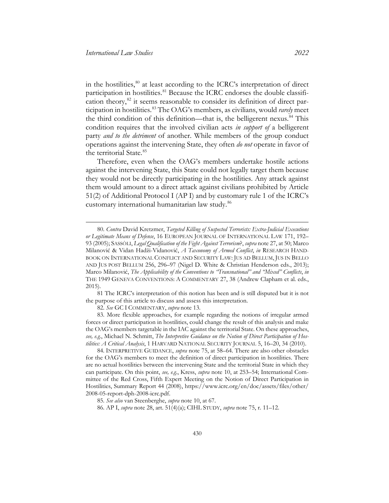in the hostilities,<sup>[80](#page-23-0)</sup> at least according to the ICRC's interpretation of direct participation in hostilities.<sup>[81](#page-23-1)</sup> Because the ICRC endorses the double classification theory, $82$  it seems reasonable to consider its definition of direct participation in hostilities. [83](#page-23-3) The OAG's members, as civilians, would *rarely* meet the third condition of this definition—that is, the belligerent nexus.<sup>[84](#page-23-4)</sup> This condition requires that the involved civilian acts *in support of* a belligerent party *and to the detriment* of another. While members of the group conduct operations against the intervening State, they often *do not* operate in favor of the territorial State.<sup>[85](#page-23-5)</sup>

Therefore, even when the OAG's members undertake hostile actions against the intervening State, this State could not legally target them because they would not be directly participating in the hostilities. Any attack against them would amount to a direct attack against civilians prohibited by Article 51(2) of Additional Protocol I (AP I) and by customary rule 1 of the ICRC's customary international humanitarian law study.[86](#page-23-6)

<span id="page-23-1"></span>81 The ICRC's interpretation of this notion has been and is still disputed but it is not the purpose of this article to discuss and assess this interpretation.

82. *See* GC I COMMENTARY, *supra* note [13.](#page-6-1)

<span id="page-23-3"></span><span id="page-23-2"></span>83. More flexible approaches, for example regarding the notions of irregular armed forces or direct participation in hostilities, could change the result of this analysis and make the OAG's members targetable in the IAC against the territorial State. On these approaches, *see, e.g.*, Michael N. Schmitt, *The Interpretive Guidance on the Notion of Direct Participation of Hostilities: A Critical Analysis*, 1 HARVARD NATIONAL SECURITY JOURNAL 5, 16–20, 34 (2010).

<span id="page-23-0"></span><sup>80.</sup> *Contra* David Kretzmer, *Targeted Killing of Suspected Terrorists: Extra-Judicial Executions or Legitimate Means of Defense*, 16 EUROPEAN JOURNAL OF INTERNATIONAL LAW 171, 192– 93 (2005); SASSÒLI, *Legal Qualification of the Fight Against Terrorism*?, *supra* not[e 27,](#page-10-7) at 50; Marco Milanović & Vidan Hadži-Vidanović, *A Taxonomy of Armed Conflict*, *in* RESEARCH HAND-BOOK ON INTERNATIONAL CONFLICT AND SECURITY LAW: JUS AD BELLUM, JUS IN BELLO AND JUS POST BELLUM 256, 296–97 (Nigel D. White & Christian Henderson eds., 2013); Marco Milanović, *The Applicability of the Conventions to "Transnational" and "Mixed" Conflicts*, *in* THE 1949 GENEVA CONVENTIONS: A COMMENTARY 27, 38 (Andrew Clapham et al. eds., 2015).

<span id="page-23-4"></span><sup>84.</sup> INTERPRETIVE GUIDANCE, *supra* note [75,](#page-22-5) at 58–64. There are also other obstacles for the OAG's members to meet the definition of direct participation in hostilities. There are no actual hostilities between the intervening State and the territorial State in which they can participate. On this point, *see, e.g.*, Kress, *supra* note [10,](#page-4-4) at 253–54; International Committee of the Red Cross, Fifth Expert Meeting on the Notion of Direct Participation in Hostilities, Summary Report 44 (2008), [https://www.icrc.org/en/doc/assets/files/other/](https://www.icrc.org/en/doc/assets/files/other/2008-05-report-dph-2008-icrc.pdf)  [2008-05-report-dph-2008-icrc.pdf.](https://www.icrc.org/en/doc/assets/files/other/2008-05-report-dph-2008-icrc.pdf)

<span id="page-23-6"></span><span id="page-23-5"></span><sup>85.</sup> *See also* van Steenberghe, *supra* not[e 10,](#page-4-4) at 67.

<sup>86.</sup> AP I, *supra* note [28,](#page-10-6) art. 51(4)(a); CIHL STUDY, *supra* not[e 75,](#page-22-5) r. 11–12.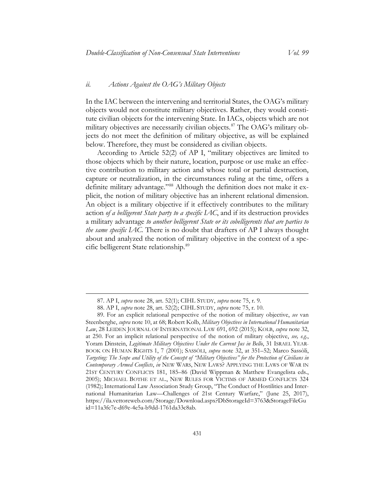#### *ii. Actions Against the OAG's Military Objects*

In the IAC between the intervening and territorial States, the OAG's military objects would not constitute military objectives. Rather, they would constitute civilian objects for the intervening State. In IACs, objects which are not military objectives are necessarily civilian objects. [87](#page-24-0) The OAG's military objects do not meet the definition of military objective, as will be explained below. Therefore, they must be considered as civilian objects.

According to Article 52(2) of AP I, "military objectives are limited to those objects which by their nature, location, purpose or use make an effective contribution to military action and whose total or partial destruction, capture or neutralization, in the circumstances ruling at the time, offers a definite military advantage."<sup>[88](#page-24-1)</sup> Although the definition does not make it explicit, the notion of military objective has an inherent relational dimension. An object is a military objective if it effectively contributes to the military action *of a belligerent State party to a specific IAC*, and if its destruction provides a military advantage *to another belligerent State or its cobelligerents that are parties to the same specific IAC.* There is no doubt that drafters of AP I always thought about and analyzed the notion of military objective in the context of a specific belligerent State relationship.[89](#page-24-2)

<sup>87.</sup> AP I, *supra* note [28,](#page-10-6) art. 52(1); CIHL STUDY, *supra* note [75,](#page-22-5) r. 9.

<sup>88.</sup> AP I, *supra* note [28,](#page-10-6) art. 52(2); CIHL STUDY, *supra* note [75,](#page-22-5) r. 10.

<span id="page-24-2"></span><span id="page-24-1"></span><span id="page-24-0"></span><sup>89.</sup> For an explicit relational perspective of the notion of military objective, *see* van Steenberghe, *supra* note [10,](#page-4-4) at 68; Robert Kolb, *Military Objectives in International Humanitarian Law*, 28 LEIDEN JOURNAL OF INTERNATIONAL LAW 691, 692 (2015); KOLB, *supra* note [32,](#page-11-3) at 250. For an implicit relational perspective of the notion of military objective, *see, e.g.*, Yoram Dinstein, *Legitimate Military Objectives Under the Current Jus in Bello*, 31 ISRAEL YEAR-BOOK ON HUMAN RIGHTS 1, 7 (2001); SASSÒLI, *supra* note [32,](#page-11-3) at 351–52; Marco Sassòli, *Targeting: The Scope and Utility of the Concept of "Military Objectives" for the Protection of Civilians in Contemporary Armed Conflicts*, *in* NEW WARS, NEW LAWS? APPLYING THE LAWS OF WAR IN 21ST CENTURY CONFLICTS 181, 185–86 (David Wippman & Matthew Evangelista eds., 2005); MICHAEL BOTHE ET AL., NEW RULES FOR VICTIMS OF ARMED CONFLICTS 324 (1982); International Law Association Study Group, "The Conduct of Hostilities and International Humanitarian Law—Challenges of 21st Century Warfare," (June 25, 2017), [https://ila.vettoreweb.com/Storage/Download.aspx?DbStorageId=3763&StorageFileGu](https://ila.vettoreweb.com/Storage/Download.aspx?DbStorageId=3763&StorageFileGuid=11a3fc7e-d69e-4e5a-b9dd-1761da33c8ab)  [id=11a3fc7e-d69e-4e5a-b9dd-1761da33c8ab.](https://ila.vettoreweb.com/Storage/Download.aspx?DbStorageId=3763&StorageFileGuid=11a3fc7e-d69e-4e5a-b9dd-1761da33c8ab)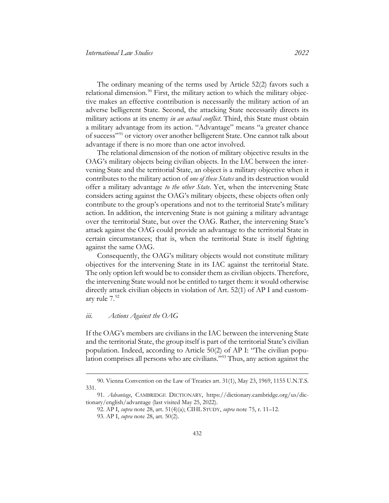The ordinary meaning of the terms used by Article 52(2) favors such a relational dimension.<sup>[90](#page-25-0)</sup> First, the military action to which the military objective makes an effective contribution is necessarily the military action of an adverse belligerent State. Second, the attacking State necessarily directs its military actions at its enemy *in an actual conflict*. Third, this State must obtain a military advantage from its action. "Advantage" means "a greater chance of success"[91](#page-25-1) or victory over another belligerent State. One cannot talk about advantage if there is no more than one actor involved.

The relational dimension of the notion of military objective results in the OAG's military objects being civilian objects. In the IAC between the intervening State and the territorial State, an object is a military objective when it contributes to the military action of *one of these States* and its destruction would offer a military advantage *to the other State*. Yet, when the intervening State considers acting against the OAG's military objects, these objects often only contribute to the group's operations and not to the territorial State's military action. In addition, the intervening State is not gaining a military advantage over the territorial State, but over the OAG. Rather, the intervening State's attack against the OAG could provide an advantage to the territorial State in certain circumstances; that is, when the territorial State is itself fighting against the same OAG.

Consequently, the OAG's military objects would not constitute military objectives for the intervening State in its IAC against the territorial State. The only option left would be to consider them as civilian objects. Therefore, the intervening State would not be entitled to target them: it would otherwise directly attack civilian objects in violation of Art. 52(1) of AP I and customary rule 7.[92](#page-25-2)

#### *iii. Actions Against the OAG*

 $\overline{a}$ 

If the OAG's members are civilians in the IAC between the intervening State and the territorial State, the group itself is part of the territorial State's civilian population. Indeed, according to Article 50(2) of AP I: "The civilian population comprises all persons who are civilians."[93](#page-25-3) Thus, any action against the

<span id="page-25-0"></span><sup>90.</sup> Vienna Convention on the Law of Treaties art. 31(1), May 23, 1969, 1155 U.N.T.S. 331.

<span id="page-25-3"></span><span id="page-25-2"></span><span id="page-25-1"></span><sup>91.</sup> *Advantage*, CAMBRIDGE DICTIONARY, [https://dictionary.cambridge.org/us/dic](https://dictionary.cambridge.org/us/dictionary/english/advantage)[tionary/english/advantage](https://dictionary.cambridge.org/us/dictionary/english/advantage) (last visited May 25, 2022).

<sup>92.</sup> AP I, *supra* note [28,](#page-10-6) art. 51(4)(a); CIHL STUDY, *supra* not[e 75,](#page-22-5) r. 11–12.

<sup>93.</sup> AP I, *supra* note [28,](#page-10-6) art. 50(2).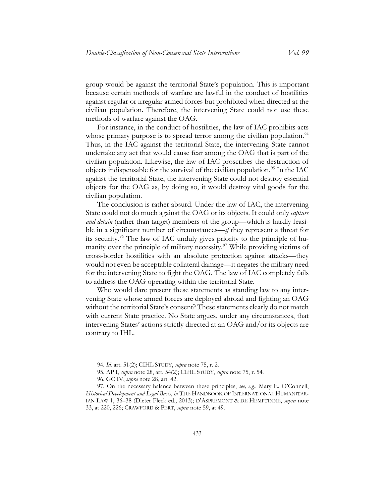group would be against the territorial State's population. This is important because certain methods of warfare are lawful in the conduct of hostilities against regular or irregular armed forces but prohibited when directed at the civilian population. Therefore, the intervening State could not use these methods of warfare against the OAG.

For instance, in the conduct of hostilities, the law of IAC prohibits acts whose primary purpose is to spread terror among the civilian population.<sup>[94](#page-26-0)</sup> Thus, in the IAC against the territorial State, the intervening State cannot undertake any act that would cause fear among the OAG that is part of the civilian population. Likewise, the law of IAC proscribes the destruction of objects indispensable for the survival of the civilian population.<sup>[95](#page-26-1)</sup> In the IAC against the territorial State, the intervening State could not destroy essential objects for the OAG as, by doing so, it would destroy vital goods for the civilian population.

The conclusion is rather absurd. Under the law of IAC, the intervening State could not do much against the OAG or its objects. It could only *capture and detain* (rather than target) members of the group—which is hardly feasible in a significant number of circumstances—*if* they represent a threat for its security.[96](#page-26-2) The law of IAC unduly gives priority to the principle of hu-manity over the principle of military necessity.<sup>[97](#page-26-3)</sup> While providing victims of cross-border hostilities with an absolute protection against attacks—they would not even be acceptable collateral damage—it negates the military need for the intervening State to fight the OAG. The law of IAC completely fails to address the OAG operating within the territorial State.

Who would dare present these statements as standing law to any intervening State whose armed forces are deployed abroad and fighting an OAG without the territorial State's consent? These statements clearly do not match with current State practice. No State argues, under any circumstances, that intervening States' actions strictly directed at an OAG and/or its objects are contrary to IHL.

<sup>94.</sup> *Id.* art. 51(2); CIHL STUDY, *supra* note [75,](#page-22-5) r. 2.

<sup>95.</sup> AP I, *supra* note [28,](#page-10-6) art. 54(2); CIHL STUDY, *supra* note [75,](#page-22-5) r. 54.

<sup>96.</sup> GC IV, *supra* note [28,](#page-10-6) art. 42.

<span id="page-26-3"></span><span id="page-26-2"></span><span id="page-26-1"></span><span id="page-26-0"></span><sup>97.</sup> On the necessary balance between these principles, *see, e.g.*, Mary E. O'Connell, *Historical Development and Legal Basis*, *in* THE HANDBOOK OF INTERNATIONAL HUMANITAR-IAN LAW 1, 36–38 (Dieter Fleck ed., 2013); D'ASPREMONT & DE HEMPTINNE, *supra* note [33,](#page-12-0) at 220, 226; CRAWFORD & PERT, *supra* note [59,](#page-17-5) at 49.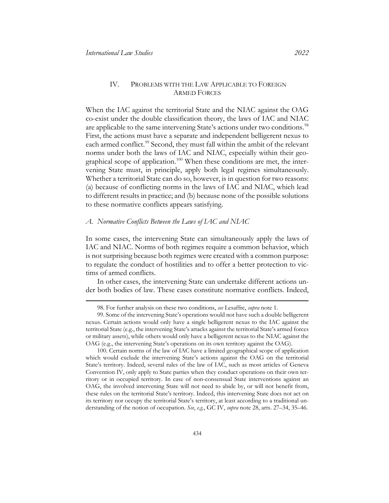#### <span id="page-27-5"></span><span id="page-27-0"></span>IV. PROBLEMS WITH THE LAW APPLICABLE TO FOREIGN ARMED FORCES

When the IAC against the territorial State and the NIAC against the OAG co-exist under the double classification theory, the laws of IAC and NIAC are applicable to the same intervening State's actions under two conditions.<sup>[98](#page-27-2)</sup> First, the actions must have a separate and independent belligerent nexus to each armed conflict.<sup>[99](#page-27-3)</sup> Second, they must fall within the ambit of the relevant norms under both the laws of IAC and NIAC, especially within their geo-graphical scope of application.<sup>[100](#page-27-4)</sup> When these conditions are met, the intervening State must, in principle, apply both legal regimes simultaneously. Whether a territorial State can do so, however, is in question for two reasons: (a) because of conflicting norms in the laws of IAC and NIAC, which lead to different results in practice; and (b) because none of the possible solutions to these normative conflicts appears satisfying.

#### <span id="page-27-1"></span>*A. Normative Conflicts Between the Laws of IAC and NIAC*

In some cases, the intervening State can simultaneously apply the laws of IAC and NIAC. Norms of both regimes require a common behavior, which is not surprising because both regimes were created with a common purpose: to regulate the conduct of hostilities and to offer a better protection to victims of armed conflicts.

In other cases, the intervening State can undertake different actions under both bodies of law. These cases constitute normative conflicts. Indeed,

<sup>98.</sup> For further analysis on these two conditions, *see* Lesaffre, *supra* note [1.](#page-2-4)

<span id="page-27-3"></span><span id="page-27-2"></span><sup>99.</sup> Some of the intervening State's operations would not have such a double belligerent nexus. Certain actions would only have a single belligerent nexus to the IAC against the territorial State (e.g., the intervening State's attacks against the territorial State's armed forces or military assets), while others would only have a belligerent nexus to the NIAC against the OAG (e.g., the intervening State's operations on its own territory against the OAG).

<span id="page-27-4"></span><sup>100.</sup> Certain norms of the law of IAC have a limited geographical scope of application which would exclude the intervening State's actions against the OAG on the territorial State's territory. Indeed, several rules of the law of IAC, such as most articles of Geneva Convention IV, only apply to State parties when they conduct operations on their own territory or in occupied territory. In case of non-consensual State interventions against an OAG, the involved intervening State will not need to abide by, or will not benefit from, these rules on the territorial State's territory. Indeed, this intervening State does not act on its territory nor occupy the territorial State's territory, at least according to a traditional understanding of the notion of occupation. *See*, *e.g.*, GC IV, *supra* not[e 28,](#page-10-6) arts. 27–34, 35–46.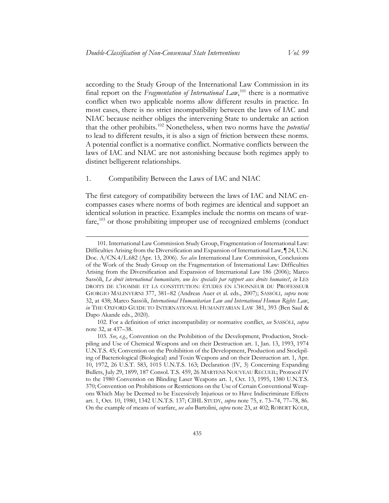<span id="page-28-3"></span>according to the Study Group of the International Law Commission in its final report on the *Fragmentation of International Law*, [101](#page-28-0) there is a normative conflict when two applicable norms allow different results in practice. In most cases, there is no strict incompatibility between the laws of IAC and NIAC because neither obliges the intervening State to undertake an action that the other prohibits.[102](#page-28-1) Nonetheless, when two norms have the *potential* to lead to different results, it is also a sign of friction between these norms. A potential conflict is a normative conflict. Normative conflicts between the laws of IAC and NIAC are not astonishing because both regimes apply to distinct belligerent relationships.

#### 1. Compatibility Between the Laws of IAC and NIAC

 $\overline{a}$ 

The first category of compatibility between the laws of IAC and NIAC encompasses cases where norms of both regimes are identical and support an identical solution in practice. Examples include the norms on means of war-fare,<sup>[103](#page-28-2)</sup> or those prohibiting improper use of recognized emblems (conduct

<span id="page-28-0"></span><sup>101.</sup> International Law Commission Study Group, Fragmentation of International Law: Difficulties Arising from the Diversification and Expansion of International Law,  $\P$  24, U.N. Doc. A/CN.4/L.682 (Apr. 13, 2006). *See also* International Law Commission, Conclusions of the Work of the Study Group on the Fragmentation of International Law: Difficulties Arising from the Diversification and Expansion of International Law 186 (2006); Marco Sassòli, *Le droit international humanitaire, une lex specialis par rapport aux droits humains?*, *in* LES DROITS DE L'HOMME ET LA CONSTITUTION: ÉTUDES EN L'HONNEUR DU PROFESSEUR GIORGIO MALINVERNI 377, 381–82 (Andreas Auer et al. eds., 2007); SASSÒLI, *supra* note [32,](#page-11-3) at 438; Marco Sassòli, *International Humanitarian Law and International Human Rights Law*, *in* THE OXFORD GUIDE TO INTERNATIONAL HUMANITARIAN LAW 381, 393 (Ben Saul & Dapo Akande eds., 2020).

<span id="page-28-1"></span><sup>102.</sup> For a definition of strict incompatibility or normative conflict, *see* SASSÒLI, *supra* note [32,](#page-11-3) at 437–38.

<span id="page-28-2"></span><sup>103.</sup> *See*, *e.g.*, Convention on the Prohibition of the Development, Production, Stockpiling and Use of Chemical Weapons and on their Destruction art. 1, Jan. 13, 1993, 1974 U.N.T.S. 45; Convention on the Prohibition of the Development, Production and Stockpiling of Bacteriological (Biological) and Toxin Weapons and on their Destruction art. 1, Apr. 10, 1972, 26 U.S.T. 583, 1015 U.N.T.S. 163; Declaration (IV, 3) Concerning Expanding Bullets, July 29, 1899, 187 Consol. T.S. 459, 26 MARTENS NOUVEAU RECUEIL; Protocol IV to the 1980 Convention on Blinding Laser Weapons art. 1, Oct. 13, 1995, 1380 U.N.T.S. 370; Convention on Prohibitions or Restrictions on the Use of Certain Conventional Weapons Which May be Deemed to be Excessively Injurious or to Have Indiscriminate Effects art. 1, Oct. 10, 1980, 1342 U.N.T.S. 137; CIHL STUDY, *supra* note [75,](#page-22-5) r. 73–74, 77–78, 86. On the example of means of warfare, *see also* Bartolini, *supra* not[e 23,](#page-8-5) at 402; ROBERT KOLB,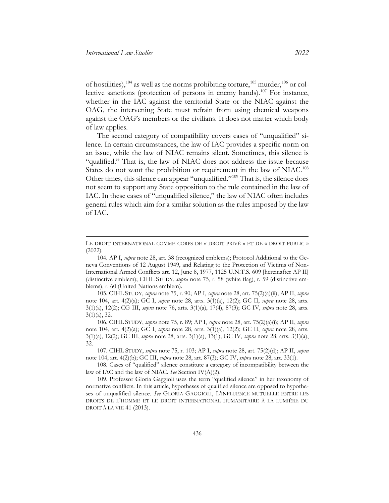<span id="page-29-0"></span>of hostilities),  $104$  as well as the norms prohibiting torture,  $105$  murder,  $106$  or col-lective sanctions (protection of persons in enemy hands).<sup>[107](#page-29-4)</sup> For instance, whether in the IAC against the territorial State or the NIAC against the OAG, the intervening State must refrain from using chemical weapons against the OAG's members or the civilians. It does not matter which body of law applies.

<span id="page-29-7"></span>The second category of compatibility covers cases of "unqualified" silence. In certain circumstances, the law of IAC provides a specific norm on an issue, while the law of NIAC remains silent. Sometimes, this silence is "qualified." That is, the law of NIAC does not address the issue because States do not want the prohibition or requirement in the law of NIAC.<sup>[108](#page-29-5)</sup> Other times, this silence can appear "unqualified."[109](#page-29-6) That is, the silence does not seem to support any State opposition to the rule contained in the law of IAC. In these cases of "unqualified silence," the law of NIAC often includes general rules which aim for a similar solution as the rules imposed by the law of IAC.

<span id="page-29-2"></span>105. CIHL STUDY, *supra* not[e 75,](#page-22-5) r. 90; AP I, *supra* not[e 28,](#page-10-6) art. 75(2)(a)(ii); AP II, *supra*  note [104,](#page-29-0) art. 4(2)(a); GC I, *supra* note [28,](#page-10-6) arts. 3(1)(a), 12(2); GC II, *supra* note [28,](#page-10-6) arts. 3(1)(a), 12(2); CG III, *supra* note [76,](#page-22-6) arts. 3(1)(a), 17(4), 87(3); GC IV, *supra* note [28,](#page-10-6) arts. 3(1)(a), 32.

<span id="page-29-3"></span>106. CIHL STUDY, *supra* note [75,](#page-22-5) r. 89; AP I, *supra* note [28,](#page-10-6) art. 75(2)(a)(i); AP II, *supra* note [104,](#page-29-0) art. 4(2)(a); GC I, *supra* note [28,](#page-10-6) arts. 3(1)(a), 12(2); GC II, *supra* note [28,](#page-10-6) arts. 3(1)(a), 12(2); GC III, *supra* note [28,](#page-10-6) arts. 3(1)(a), 13(1); GC IV, *supra* note [28,](#page-10-6) arts. 3(1)(a), 32.

<span id="page-29-4"></span>107. CIHL STUDY, *supra* note [75,](#page-22-5) r. 103; AP I, *supra* not[e 28,](#page-10-6) art. 75(2)(d); AP II, *supra* note [104,](#page-29-0) art. 4(2)(b); GC III, *supra* note [28,](#page-10-6) art. 87(3); GC IV, *supra* not[e 28,](#page-10-6) art. 33(1).

<span id="page-29-5"></span>108. Cases of "qualified" silence constitute a category of incompatibility between the law of IAC and the law of NIAC. *See* Section IV(A)(2).

<span id="page-29-6"></span>109. Professor Gloria Gaggioli uses the term "qualified silence" in her taxonomy of normative conflicts. In this article, hypotheses of qualified silence are opposed to hypotheses of unqualified silence. *See* GLORIA GAGGIOLI, L'INFLUENCE MUTUELLE ENTRE LES DROITS DE L'HOMME ET LE DROIT INTERNATIONAL HUMANITAIRE À LA LUMIÈRE DU DROIT À LA VIE 41 (2013).

LE DROIT INTERNATIONAL COMME CORPS DE « DROIT PRIVÉ » ET DE « DROIT PUBLIC » (2022)*.*

<span id="page-29-1"></span><sup>104.</sup> AP I, *supra* not[e 28,](#page-10-6) art. 38 (recognized emblems); Protocol Additional to the Geneva Conventions of 12 August 1949, and Relating to the Protection of Victims of Non-International Armed Conflicts art. 12, June 8, 1977, 1125 U.N.T.S. 609 [hereinafter AP II] (distinctive emblem); CIHL STUDY, *supra* note [75,](#page-22-5) r. 58 (white flag), r. 59 (distinctive emblems), r. 60 (United Nations emblem).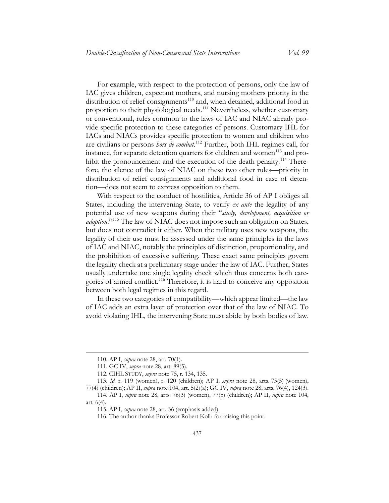For example, with respect to the protection of persons, only the law of IAC gives children, expectant mothers, and nursing mothers priority in the distribution of relief consignments<sup>[110](#page-30-0)</sup> and, when detained, additional food in proportion to their physiological needs.<sup>[111](#page-30-1)</sup> Nevertheless, whether customary or conventional, rules common to the laws of IAC and NIAC already provide specific protection to these categories of persons. Customary IHL for IACs and NIACs provides specific protection to women and children who are civilians or persons *hors de combat*. [112](#page-30-2) Further, both IHL regimes call, for instance, for separate detention quarters for children and women<sup>[113](#page-30-3)</sup> and pro-hibit the pronouncement and the execution of the death penalty.<sup>[114](#page-30-4)</sup> Therefore, the silence of the law of NIAC on these two other rules—priority in distribution of relief consignments and additional food in case of detention—does not seem to express opposition to them.

With respect to the conduct of hostilities, Article 36 of AP I obliges all States, including the intervening State, to verify *ex ante* the legality of any potential use of new weapons during their "*study, development, acquisition or adoption*."[115](#page-30-5) The law of NIAC does not impose such an obligation on States, but does not contradict it either. When the military uses new weapons, the legality of their use must be assessed under the same principles in the laws of IAC and NIAC, notably the principles of distinction, proportionality, and the prohibition of excessive suffering. These exact same principles govern the legality check at a preliminary stage under the law of IAC. Further, States usually undertake one single legality check which thus concerns both cate-gories of armed conflict.<sup>[116](#page-30-6)</sup> Therefore, it is hard to conceive any opposition between both legal regimes in this regard.

In these two categories of compatibility—which appear limited—the law of IAC adds an extra layer of protection over that of the law of NIAC. To avoid violating IHL, the intervening State must abide by both bodies of law.

<sup>110.</sup> AP I, *supra* not[e 28,](#page-10-6) art. 70(1).

<sup>111.</sup> GC IV, *supra* note [28,](#page-10-6) art. 89(5).

<sup>112.</sup> CIHL STUDY, *supra* note [75,](#page-22-5) r. 134, 135.

<span id="page-30-3"></span><span id="page-30-2"></span><span id="page-30-1"></span><span id="page-30-0"></span><sup>113.</sup> *Id.* r. 119 (women), r. 120 (children); AP I, *supra* note [28,](#page-10-6) arts. 75(5) (women), 77(4) (children); AP II, *supra* not[e 104,](#page-29-0) art. 5(2)(a); GC IV, *supra* note [28,](#page-10-6) arts. 76(4), 124(3).

<span id="page-30-6"></span><span id="page-30-5"></span><span id="page-30-4"></span><sup>114.</sup> AP I, *supra* note [28,](#page-10-6) arts. 76(3) (women), 77(5) (children); AP II, *supra* note [104,](#page-29-0) art. 6(4).

<sup>115.</sup> AP I, *supra* not[e 28,](#page-10-6) art. 36 (emphasis added).

<sup>116.</sup> The author thanks Professor Robert Kolb for raising this point.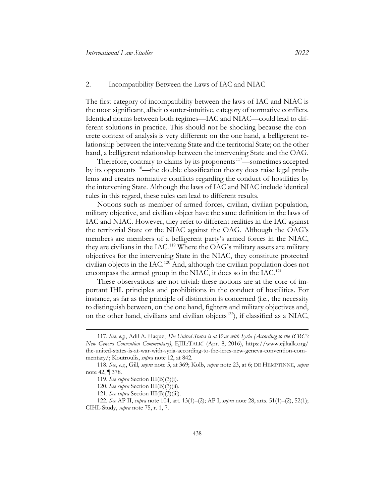#### 2. Incompatibility Between the Laws of IAC and NIAC

The first category of incompatibility between the laws of IAC and NIAC is the most significant, albeit counter-intuitive, category of normative conflicts. Identical norms between both regimes—IAC and NIAC—could lead to different solutions in practice. This should not be shocking because the concrete context of analysis is very different: on the one hand, a belligerent relationship between the intervening State and the territorial State; on the other hand, a belligerent relationship between the intervening State and the OAG.

<span id="page-31-6"></span>Therefore, contrary to claims by its proponents<sup>[117](#page-31-0)</sup>—sometimes accepted by its opponents<sup>118</sup>—the double classification theory does raise legal problems and creates normative conflicts regarding the conduct of hostilities by the intervening State. Although the laws of IAC and NIAC include identical rules in this regard, these rules can lead to different results.

Notions such as member of armed forces, civilian, civilian population, military objective, and civilian object have the same definition in the laws of IAC and NIAC. However, they refer to different realities in the IAC against the territorial State or the NIAC against the OAG. Although the OAG's members are members of a belligerent party's armed forces in the NIAC, they are civilians in the IAC.<sup>[119](#page-31-2)</sup> Where the OAG's military assets are military objectives for the intervening State in the NIAC, they constitute protected civilian objects in the IAC.[120](#page-31-3) And, although the civilian population does not encompass the armed group in the NIAC, it does so in the IAC.<sup>[121](#page-31-4)</sup>

These observations are not trivial: these notions are at the core of important IHL principles and prohibitions in the conduct of hostilities. For instance, as far as the principle of distinction is concerned (i.e., the necessity to distinguish between, on the one hand, fighters and military objectives and, on the other hand, civilians and civilian objects<sup>[122](#page-31-5)</sup>), if classified as a NIAC,

<span id="page-31-0"></span><sup>117.</sup> *See*, *e.g.*, Adil A. Haque, *The United States is at War with Syria (According to the ICRC's New Geneva Convention Commentary)*, EJIL:TALK! (Apr. 8, 2016), [https://www.ejiltalk.org/](https://www.ejiltalk.org/the-united-states-is-at-war-with-syria-according-to-the-icrcs-new-geneva-convention-commentary/)  [the-united-states-is-at-war-with-syria-according-to-the-icrcs-new-geneva-convention-com](https://www.ejiltalk.org/the-united-states-is-at-war-with-syria-according-to-the-icrcs-new-geneva-convention-commentary/)[mentary/;](https://www.ejiltalk.org/the-united-states-is-at-war-with-syria-according-to-the-icrcs-new-geneva-convention-commentary/) Koutroulis, *supra* note [12,](#page-5-2) at 842.

<span id="page-31-2"></span><span id="page-31-1"></span><sup>118.</sup> *See*, *e.g.*, Gill, *supra* note [5,](#page-3-3) at 369; Kolb, *supra* note [23,](#page-8-5) at 6; DE HEMPTINNE, *supra* note [42,](#page-13-10) ¶ 378.

<sup>119.</sup> *See supra* Section III(B)(3)(i).

<sup>120.</sup> *See supra* Section III(B)(3)(ii).

<sup>121.</sup> *See supra* Section III(B)(3)(iii).

<span id="page-31-5"></span><span id="page-31-4"></span><span id="page-31-3"></span><sup>122.</sup> *See* AP II, *supra* note [104,](#page-29-0) art. 13(1)–(2); AP I, *supra* note [28,](#page-10-6) arts. 51(1)–(2), 52(1); CIHL Study, *supra* note [75,](#page-22-5) r. 1, 7.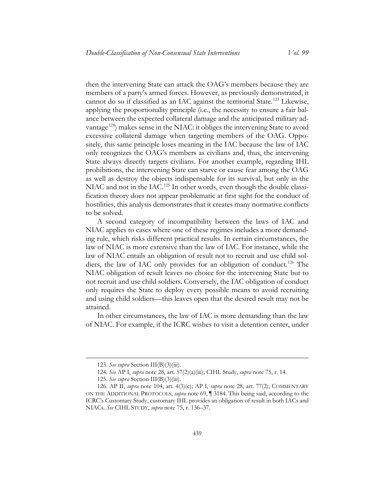then the intervening State can attack the OAG's members because they are members of a party's armed forces. However, as previously demonstrated, it cannot do so if classified as an IAC against the territorial State.<sup>[123](#page-32-0)</sup> Likewise, applying the proportionality principle (i.e., the necessity to ensure a fair balance between the expected collateral damage and the anticipated military advantage<sup>124</sup>) makes sense in the NIAC: it obliges the intervening State to avoid excessive collateral damage when targeting members of the OAG. Oppositely, this same principle loses meaning in the IAC because the law of IAC only recognizes the OAG's members as civilians and, thus, the intervening State always directly targets civilians. For another example, regarding IHL prohibitions, the intervening State can starve or cause fear among the OAG as well as destroy the objects indispensable for its survival, but only in the NIAC and not in the IAC.<sup>[125](#page-32-2)</sup> In other words, even though the double classification theory does not appear problematic at first sight for the conduct of hostilities, this analysis demonstrates that it creates many normative conflicts to be solved.

A second category of incompatibility between the laws of IAC and NIAC applies to cases where one of these regimes includes a more demanding rule, which risks different practical results. In certain circumstances, the law of NIAC is more extensive than the law of IAC. For instance, while the law of NIAC entails an obligation of result not to recruit and use child sol-diers, the law of IAC only provides for an obligation of conduct.<sup>[126](#page-32-3)</sup> The NIAC obligation of result leaves no choice for the intervening State but to not recruit and use child soldiers. Conversely, the IAC obligation of conduct only requires the State to deploy every possible means to avoid recruiting and using child soldiers—this leaves open that the desired result may not be attained.

In other circumstances, the law of IAC is more demanding than the law of NIAC. For example, if the ICRC wishes to visit a detention center, under

<sup>123.</sup> *See supra* Section III(B)(3)(iii).

<sup>124.</sup> *See* AP I, *supra* note [28,](#page-10-6) art. 57(2)(a)(iii); CIHL Study, *supra* note [75,](#page-22-5) r. 14.

<sup>125.</sup> *See supra* Section III(B)(3)(iii).

<span id="page-32-3"></span><span id="page-32-2"></span><span id="page-32-1"></span><span id="page-32-0"></span><sup>126.</sup> AP II, *supra* note [104,](#page-29-0) art. 4(3)(c); AP I, *supra* note [28,](#page-10-6) art. 77(2); COMMENTARY ON THE ADDITIONAL PROTOCOLS, *supra* note [69,](#page-20-1) ¶ 3184. This being said, according to the ICRC's Customary Study, customary IHL provides an obligation of result in both IACs and NIACs. *See* CIHL STUDY, *supra* note [75,](#page-22-5) r. 136–37.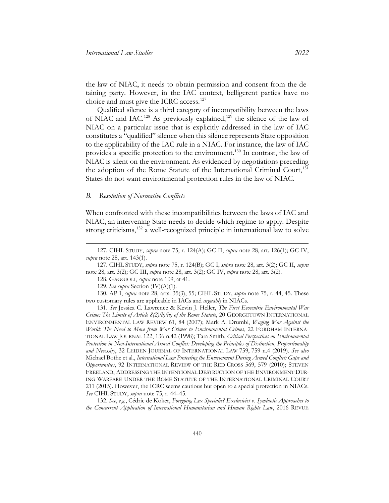the law of NIAC, it needs to obtain permission and consent from the detaining party. However, in the IAC context, belligerent parties have no choice and must give the ICRC access.<sup>[127](#page-33-1)</sup>

Qualified silence is a third category of incompatibility between the laws of NIAC and IAC.<sup>[128](#page-33-2)</sup> As previously explained,<sup>[129](#page-33-3)</sup> the silence of the law of NIAC on a particular issue that is explicitly addressed in the law of IAC constitutes a "qualified" silence when this silence represents State opposition to the applicability of the IAC rule in a NIAC. For instance, the law of IAC provides a specific protection to the environment.[130](#page-33-4) In contrast, the law of NIAC is silent on the environment. As evidenced by negotiations preceding the adoption of the Rome Statute of the International Criminal Court,<sup>[131](#page-33-5)</sup> States do not want environmental protection rules in the law of NIAC.

#### <span id="page-33-0"></span>*B. Resolution of Normative Conflicts*

<span id="page-33-7"></span> $\overline{a}$ 

When confronted with these incompatibilities between the laws of IAC and NIAC, an intervening State needs to decide which regime to apply. Despite strong criticisms,<sup>[132](#page-33-6)</sup> a well-recognized principle in international law to solve

<span id="page-33-2"></span>127. CIHL STUDY, *supra* note [75,](#page-22-5) r. 124(B); GC I, *supra* note [28,](#page-10-6) art. 3(2); GC II, *supra* note [28,](#page-10-6) art. 3(2); GC III, *supra* note [28,](#page-10-6) art. 3(2); GC IV, *supra* note [28,](#page-10-6) art. 3(2).

128. GAGGIOLI, *supra* note [109,](#page-29-7) at 41.

129. *See supra* Section (IV)(A)(1).

<span id="page-33-4"></span><span id="page-33-3"></span>130. AP I, *supra* note [28,](#page-10-6) arts. 35(3), 55; CIHL STUDY, *supra* note [75,](#page-22-5) r. 44, 45. These two customary rules are applicable in IACs and *arguably* in NIACs.

<span id="page-33-6"></span>132. *See*, *e.g.*, Cédric de Koker, *Foregoing Lex Specialis? Exclusivist v. Symbiotic Approaches to the Concurrent Application of International Humanitarian and Human Rights Law*, 2016 REVUE

<span id="page-33-1"></span><sup>127.</sup> CIHL STUDY, *supra* note [75,](#page-22-5) r. 124(A); GC II, *supra* note [28,](#page-10-6) art. 126(1); GC IV, *supra* not[e 28,](#page-10-6) art. 143(1).

<span id="page-33-5"></span><sup>131.</sup> *See* Jessica C. Lawrence & Kevin J. Heller, *The First Ecocentric Environmental War Crime: The Limits of Article 8(2)(b)(iv) of the Rome Statute*, 20 GEORGETOWN INTERNATIONAL ENVIRONMENTAL LAW REVIEW 61, 84 (2007); Mark A. Drumbl, *Waging War Against the World: The Need to Move from War Crimes to Environmental Crimes*, 22 FORDHAM INTERNA-TIONAL LAW JOURNAL 122, 136 n.42 (1998); Tara Smith, *Critical Perspectives on Environmental Protection in Non-International Armed Conflict: Developing the Principles of Distinction, Proportionality and Necessity*, 32 LEIDEN JOURNAL OF INTERNATIONAL LAW 759, 759 n.4 (2019). *See also* Michael Bothe et al., *International Law Protecting the Environment During Armed Conflict: Gaps and Opportunities*, 92 INTERNATIONAL REVIEW OF THE RED CROSS 569, 579 (2010); STEVEN FREELAND, ADDRESSING THE INTENTIONAL DESTRUCTION OF THE ENVIRONMENT DUR-ING WARFARE UNDER THE ROME STATUTE OF THE INTERNATIONAL CRIMINAL COURT 211 (2015). However, the ICRC seems cautious but open to a special protection in NIACs. *See* CIHL STUDY, *supra* not[e 75,](#page-22-5) r. 44–45.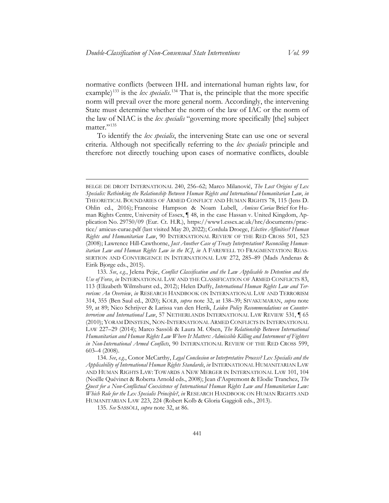normative conflicts (between IHL and international human rights law, for example)<sup>[133](#page-34-0)</sup> is the *lex specialis*.<sup>[134](#page-34-1)</sup> That is, the principle that the more specific norm will prevail over the more general norm. Accordingly, the intervening State must determine whether the norm of the law of IAC or the norm of the law of NIAC is the *lex specialis* "governing more specifically [the] subject matter."<sup>[135](#page-34-2)</sup>

To identify the *lex specialis*, the intervening State can use one or several criteria. Although not specifically referring to the *lex specialis* principle and therefore not directly touching upon cases of normative conflicts, double

<span id="page-34-2"></span>135. *See* SASSÒLI, *supra* note [32,](#page-11-3) at 86.

BELGE DE DROIT INTERNATIONAL 240, 256–62; Marco Milanović, *The Lost Origins of Lex Specialis: Rethinking the Relationship Between Human Rights and International Humanitarian Law*, *in* THEORETICAL BOUNDARIES OF ARMED CONFLICT AND HUMAN RIGHTS 78, 115 (Jens D. Ohlin ed., 2016); Francoise Hampson & Noam Lubell, *Amicus Curiae* Brief for Human Rights Centre, University of Essex, ¶ 48, in the case Hassan v. United Kingdom, Application No. 29750/09 (Eur. Ct. H.R.), [https://www1.essex.ac.uk/hrc/documents/prac](https://www1.essex.ac.uk/hrc/documents/practice/amicus-curae.pdf)[tice/ amicus-curae.pdf](https://www1.essex.ac.uk/hrc/documents/practice/amicus-curae.pdf) (last visited May 20, 2022); Cordula Droege, *Elective Affinities? Human Rights and Humanitarian Law*, 90 INTERNATIONAL REVIEW OF THE RED CROSS 501, 523 (2008); Lawrence Hill-Cawthorne, *Just Another Case of Treaty Interpretation? Reconciling Humanitarian Law and Human Rights Law in the ICJ*, *in* A FAREWELL TO FRAGMENTATION: REAS-SERTION AND CONVERGENCE IN INTERNATIONAL LAW 272, 285–89 (Mads Andenas & Eirik Bjorge eds., 2015).

<span id="page-34-0"></span><sup>133.</sup> *See*, *e.g.*, Jelena Pejic, *Conflict Classification and the Law Applicable to Detention and the Use of Force*, *in* INTERNATIONAL LAW AND THE CLASSIFICATION OF ARMED CONFLICTS 83, 113 (Elizabeth Wilmshurst ed., 2012); Helen Duffy, *International Human Rights Law and Terrorism: An Overview*, *in* RESEARCH HANDBOOK ON INTERNATIONAL LAW AND TERRORISM 314, 355 (Ben Saul ed., 2020); KOLB, *supra* note [32,](#page-11-3) at 138–39; SIVAKUMARAN, *supra* note [59,](#page-17-5) at 89; Nico Schrijver & Larissa van den Herik, *Leiden Policy Recommendations on Counterterrorism and International Law*, 57 NETHERLANDS INTERNATIONAL LAW REVIEW 531, ¶ 65 (2010); YORAM DINSTEIN, NON-INTERNATIONAL ARMED CONFLICTS IN INTERNATIONAL LAW 227–29 (2014); Marco Sassòli & Laura M. Olsen, *The Relationship Between International Humanitarian and Human Rights Law Where It Matters: Admissible Killing and Internment of Fighters in Non-International Armed Conflicts*, 90 INTERNATIONAL REVIEW OF THE RED CROSS 599, 603–4 (2008).

<span id="page-34-1"></span><sup>134.</sup> *See*, *e.g.*, Conor McCarthy, *Legal Conclusion or Interpretative Process? Lex Specialis and the Applicability of International Human Rights Standards*, *in* INTERNATIONAL HUMANITARIAN LAW AND HUMAN RIGHTS LAW: TOWARDS A NEW MERGER IN INTERNATIONAL LAW 101, 104 (Noëlle Quévinet & Roberta Arnold eds., 2008); Jean d'Aspremont & Elodie Tranchez, *The Quest for a Non-Conflictual Coexistence of International Human Rights Law and Humanitarian Law: Which Role for the Lex Specialis Principle?*, *in* RESEARCH HANDBOOK ON HUMAN RIGHTS AND HUMANITARIAN LAW 223, 224 (Robert Kolb & Gloria Gaggioli eds., 2013).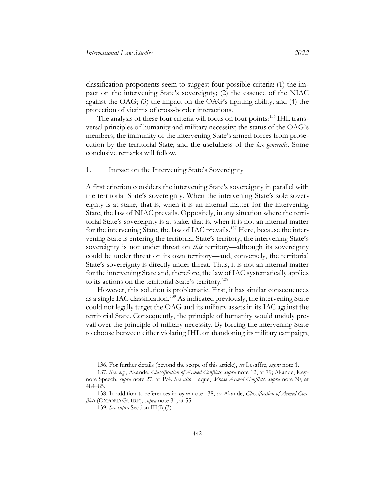classification proponents seem to suggest four possible criteria: (1) the impact on the intervening State's sovereignty; (2) the essence of the NIAC against the OAG; (3) the impact on the OAG's fighting ability; and (4) the protection of victims of cross-border interactions.

The analysis of these four criteria will focus on four points:<sup>[136](#page-35-1)</sup> IHL transversal principles of humanity and military necessity; the status of the OAG's members; the immunity of the intervening State's armed forces from prosecution by the territorial State; and the usefulness of the *lex generalis*. Some conclusive remarks will follow.

1. Impact on the Intervening State's Sovereignty

A first criterion considers the intervening State's sovereignty in parallel with the territorial State's sovereignty. When the intervening State's sole sovereignty is at stake, that is, when it is an internal matter for the intervening State, the law of NIAC prevails. Oppositely, in any situation where the territorial State's sovereignty is at stake, that is, when it is not an internal matter for the intervening State, the law of IAC prevails. [137](#page-35-2) Here, because the intervening State is entering the territorial State's territory, the intervening State's sovereignty is not under threat on *this* territory—although its sovereignty could be under threat on its own territory—and, conversely, the territorial State's sovereignty is directly under threat. Thus, it is not an internal matter for the intervening State and, therefore, the law of IAC systematically applies to its actions on the territorial State's territory. [138](#page-35-3)

<span id="page-35-0"></span>However, this solution is problematic. First, it has similar consequences as a single IAC classification.<sup>[139](#page-35-4)</sup> As indicated previously, the intervening State could not legally target the OAG and its military assets in its IAC against the territorial State. Consequently, the principle of humanity would unduly prevail over the principle of military necessity. By forcing the intervening State to choose between either violating IHL or abandoning its military campaign,

<sup>136.</sup> For further details (beyond the scope of this article), *see* Lesaffre, *supra* note [1.](#page-2-4)

<span id="page-35-2"></span><span id="page-35-1"></span><sup>137.</sup> *See*, *e.g.*, Akande, *Classification of Armed Conflicts, supra* note [12,](#page-5-2) at 79; Akande, Keynote Speech, *supra* note [27,](#page-10-1) at 194. *See also* Haque, *Whose Armed Conflict?*, *supra* note [30,](#page-10-8) at 484–85.

<span id="page-35-4"></span><span id="page-35-3"></span><sup>138.</sup> In addition to references in *supra* note [138,](#page-35-0) *see* Akande, *Classification of Armed Conflicts* (OXFORD GUIDE), *supra* note [31,](#page-11-4) at 55.

<sup>139.</sup> *See supra* Section III(B)(3).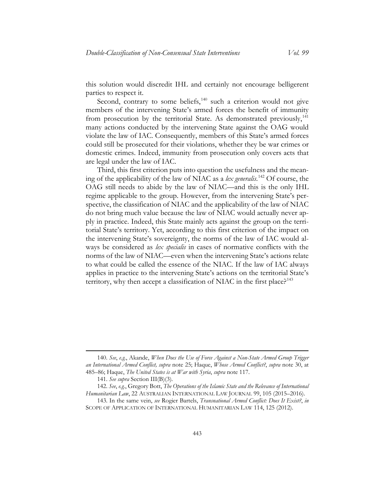this solution would discredit IHL and certainly not encourage belligerent parties to respect it.

Second, contrary to some beliefs, $140$  such a criterion would not give members of the intervening State's armed forces the benefit of immunity from prosecution by the territorial State. As demonstrated previously,<sup>[141](#page-36-1)</sup> many actions conducted by the intervening State against the OAG would violate the law of IAC. Consequently, members of this State's armed forces could still be prosecuted for their violations, whether they be war crimes or domestic crimes. Indeed, immunity from prosecution only covers acts that are legal under the law of IAC.

Third, this first criterion puts into question the usefulness and the meaning of the applicability of the law of NIAC as a *lex generalis*. [142](#page-36-2) Of course, the OAG still needs to abide by the law of NIAC—and this is the only IHL regime applicable to the group. However, from the intervening State's perspective, the classification of NIAC and the applicability of the law of NIAC do not bring much value because the law of NIAC would actually never apply in practice. Indeed, this State mainly acts against the group on the territorial State's territory. Yet, according to this first criterion of the impact on the intervening State's sovereignty, the norms of the law of IAC would always be considered as *lex specialis* in cases of normative conflicts with the norms of the law of NIAC—even when the intervening State's actions relate to what could be called the essence of the NIAC. If the law of IAC always applies in practice to the intervening State's actions on the territorial State's territory, why then accept a classification of NIAC in the first place?<sup>[143](#page-36-3)</sup>

<span id="page-36-0"></span><sup>140.</sup> *See*, *e.g.*, Akande, *When Does the Use of Force Against a Non-State Armed Group Trigger an International Armed Conflict, supra* note [25;](#page-8-4) Haque, *Whose Armed Conflict?*, *supra* note [30,](#page-10-8) at 485–86; Haque, *The United States is at War with Syria*, *supra* note [117.](#page-31-6)

<sup>141.</sup> *See supra* Section III(B)(3).

<span id="page-36-2"></span><span id="page-36-1"></span><sup>142.</sup> *See*, *e.g.*, Gregory Bott, *The Operations of the Islamic State and the Relevance of International Humanitarian Law*, 22 AUSTRALIAN INTERNATIONAL LAW JOURNAL 99, 105 (2015–2016).

<span id="page-36-3"></span><sup>143.</sup> In the same vein, *see* Rogier Bartels, *Transnational Armed Conflict: Does It Exist?*, *in* SCOPE OF APPLICATION OF INTERNATIONAL HUMANITARIAN LAW 114, 125 (2012).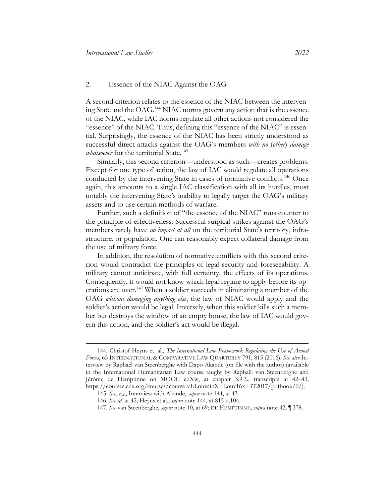#### 2. Essence of the NIAC Against the OAG

<span id="page-37-0"></span>A second criterion relates to the essence of the NIAC between the intervening State and the OAG. [144](#page-37-1) NIAC norms govern any action that is the essence of the NIAC, while IAC norms regulate all other actions not considered the "essence" of the NIAC. Thus, defining this "essence of the NIAC" is essential. Surprisingly, the essence of the NIAC has been strictly understood as successful direct attacks against the OAG's members *with no* (*other*) *damage whatsoever* for the territorial State.<sup>[145](#page-37-2)</sup>

Similarly, this second criterion—understood as such—creates problems. Except for one type of action, the law of IAC would regulate all operations conducted by the intervening State in cases of normative conflicts.<sup>[146](#page-37-3)</sup> Once again, this amounts to a single IAC classification with all its hurdles, most notably the intervening State's inability to legally target the OAG's military assets and to use certain methods of warfare.

Further, such a definition of "the essence of the NIAC" runs counter to the principle of effectiveness. Successful surgical strikes against the OAG's members rarely have *no impact at all* on the territorial State's territory, infrastructure, or population. One can reasonably expect collateral damage from the use of military force.

In addition, the resolution of normative conflicts with this second criterion would contradict the principles of legal security and foreseeability. A military cannot anticipate, with full certainty, the effects of its operations. Consequently, it would not know which legal regime to apply before its operations are over.[147](#page-37-4) When a soldier succeeds in eliminating a member of the OAG *without damaging anything else*, the law of NIAC would apply and the soldier's action would be legal. Inversely, when this soldier kills such a member but destroys the window of an empty house, the law of IAC would govern this action, and the soldier's act would be illegal.

<span id="page-37-2"></span><span id="page-37-1"></span><sup>144.</sup> Christof Heyns et. al., *The International Law Framework Regulating the Use of Armed Forces*, 65 INTERNATIONAL & COMPARATIVE LAW QUARTERLY 791, 815 (2016). *See also* Interview by Raphaël van Steenberghe with Dapo Akande (on file with the author) (available in the International Humanitarian Law course taught by Raphaël van Steenberghe and Jérôme de Hemptinne on MOOC edXw, at chapter 3.9.3., transcripts at 42–43, [https://courses.edx.org/courses/course-v1:LouvainX+Louv16x+3T2017/pdfbook/0/\)](https://courses.edx.org/courses/course-v1:LouvainX+Louv16x+3T2017/pdfbook/0/).

<span id="page-37-3"></span><sup>145.</sup> *See*, *e.g.*, Interview with Akande, *supra* note [144,](#page-37-0) at 43.

<sup>146.</sup> *See id.* at 42; Heyns et al., *supra* note [144,](#page-37-0) at 815 n.104.

<span id="page-37-4"></span><sup>147.</sup> *See* van Steenberghe, *supra* note [10,](#page-4-4) at 69; DE HEMPTINNE, *supra* note [42,](#page-13-10) ¶ 378.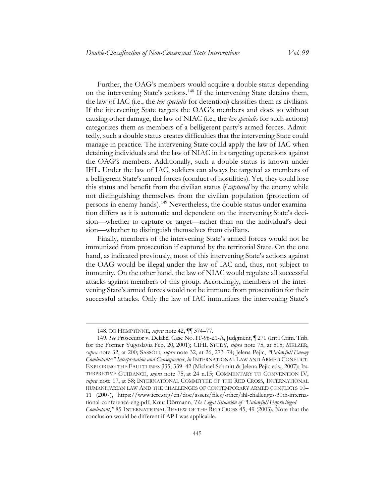Further, the OAG's members would acquire a double status depending on the intervening State's actions.[148](#page-38-0) If the intervening State detains them, the law of IAC (i.e., the *lex specialis* for detention) classifies them as civilians. If the intervening State targets the OAG's members and does so without causing other damage, the law of NIAC (i.e., the *lex specialis* for such actions) categorizes them as members of a belligerent party's armed forces. Admittedly, such a double status creates difficulties that the intervening State could manage in practice. The intervening State could apply the law of IAC when detaining individuals and the law of NIAC in its targeting operations against the OAG's members. Additionally, such a double status is known under IHL. Under the law of IAC, soldiers can always be targeted as members of a belligerent State's armed forces (conduct of hostilities). Yet, they could lose this status and benefit from the civilian status *if captured* by the enemy while not distinguishing themselves from the civilian population (protection of persons in enemy hands).<sup>[149](#page-38-1)</sup> Nevertheless, the double status under examination differs as it is automatic and dependent on the intervening State's decision—whether to capture or target—rather than on the individual's decision—whether to distinguish themselves from civilians.

Finally, members of the intervening State's armed forces would not be immunized from prosecution if captured by the territorial State. On the one hand, as indicated previously, most of this intervening State's actions against the OAG would be illegal under the law of IAC and, thus, not subject to immunity. On the other hand, the law of NIAC would regulate all successful attacks against members of this group. Accordingly, members of the intervening State's armed forces would not be immune from prosecution for their successful attacks. Only the law of IAC immunizes the intervening State's

<sup>148.</sup> DE HEMPTINNE, *supra* note [42,](#page-13-10) ¶¶ 374–77.

<span id="page-38-1"></span><span id="page-38-0"></span><sup>149.</sup> *See* Prosecutor v. Delalić, Case No. IT-96-21-A, Judgment, ¶ 271 (Int'l Crim. Trib. for the Former Yugoslavia Feb. 20, 2001); CIHL STUDY, *supra* note [75,](#page-22-5) at 515; MELZER, *supra* note [32,](#page-11-3) at 200; SASSÒLI, *supra* note [32,](#page-11-3) at 26, 273–74; Jelena Pejic, *"Unlawful/Enemy Combatants:" Interpretation and Consequences*, *in* INTERNATIONAL LAW AND ARMED CONFLICT: EXPLORING THE FAULTLINES 335, 339–42 (Michael Schmitt & Jelena Pejic eds., 2007); IN-TERPRETIVE GUIDANCE, *supra* note [75,](#page-22-5) at 24 n.15; COMMENTARY TO CONVENTION IV, *supra* note [17,](#page-7-6) at 58; INTERNATIONAL COMMITTEE OF THE RED CROSS, INTERNATIONAL HUMANITARIAN LAW AND THE CHALLENGES OF CONTEMPORARY ARMED CONFLICTS 10– 11 (2007), https://www.icrc.org/en/doc/assets/files/other/ihl-challenges-30th-international-conference-eng.pdf; Knut Dörmann, *The Legal Situation of "Unlawful/Unprivileged Combatant*,*"* 85 INTERNATIONAL REVIEW OF THE RED CROSS 45, 49 (2003). Note that the conclusion would be different if AP I was applicable.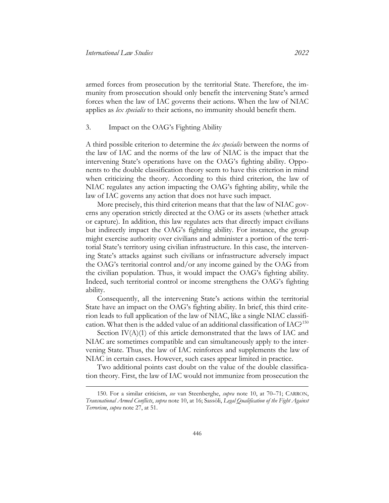armed forces from prosecution by the territorial State. Therefore, the immunity from prosecution should only benefit the intervening State's armed forces when the law of IAC governs their actions. When the law of NIAC applies as *lex specialis* to their actions, no immunity should benefit them.

#### 3. Impact on the OAG's Fighting Ability

A third possible criterion to determine the *lex specialis* between the norms of the law of IAC and the norms of the law of NIAC is the impact that the intervening State's operations have on the OAG's fighting ability. Opponents to the double classification theory seem to have this criterion in mind when criticizing the theory. According to this third criterion, the law of NIAC regulates any action impacting the OAG's fighting ability, while the law of IAC governs any action that does not have such impact.

More precisely, this third criterion means that that the law of NIAC governs any operation strictly directed at the OAG or its assets (whether attack or capture). In addition, this law regulates acts that directly impact civilians but indirectly impact the OAG's fighting ability. For instance, the group might exercise authority over civilians and administer a portion of the territorial State's territory using civilian infrastructure. In this case, the intervening State's attacks against such civilians or infrastructure adversely impact the OAG's territorial control and/or any income gained by the OAG from the civilian population. Thus, it would impact the OAG's fighting ability. Indeed, such territorial control or income strengthens the OAG's fighting ability.

Consequently, all the intervening State's actions within the territorial State have an impact on the OAG's fighting ability. In brief, this third criterion leads to full application of the law of NIAC, like a single NIAC classification. What then is the added value of an additional classification of IAC?[150](#page-39-0)

Section  $IV(A)(1)$  of this article demonstrated that the laws of IAC and NIAC are sometimes compatible and can simultaneously apply to the intervening State. Thus, the law of IAC reinforces and supplements the law of NIAC in certain cases. However, such cases appear limited in practice.

Two additional points cast doubt on the value of the double classification theory. First, the law of IAC would not immunize from prosecution the

<span id="page-39-0"></span><sup>150.</sup> For a similar criticism, *see* van Steenberghe, *supra* note [10,](#page-4-4) at 70–71; CARRON, *Transnational Armed Conflicts*, *supra* not[e 10,](#page-4-4) at 16; Sassòli, *Legal Qualification of the Fight Against Terrorism*, *supra* note [27,](#page-10-7) at 51.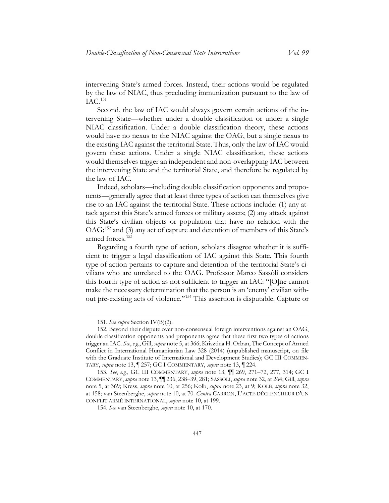intervening State's armed forces. Instead, their actions would be regulated by the law of NIAC, thus precluding immunization pursuant to the law of IAC.[151](#page-40-0)

Second, the law of IAC would always govern certain actions of the intervening State—whether under a double classification or under a single NIAC classification. Under a double classification theory, these actions would have no nexus to the NIAC against the OAG, but a single nexus to the existing IAC against the territorial State. Thus, only the law of IAC would govern these actions. Under a single NIAC classification, these actions would themselves trigger an independent and non-overlapping IAC between the intervening State and the territorial State, and therefore be regulated by the law of IAC.

Indeed, scholars—including double classification opponents and proponents—generally agree that at least three types of action can themselves give rise to an IAC against the territorial State. These actions include: (1) any attack against this State's armed forces or military assets; (2) any attack against this State's civilian objects or population that have no relation with the OAG;[152](#page-40-1) and (3) any act of capture and detention of members of this State's armed forces. [153](#page-40-2)

Regarding a fourth type of action, scholars disagree whether it is sufficient to trigger a legal classification of IAC against this State. This fourth type of action pertains to capture and detention of the territorial State's civilians who are unrelated to the OAG. Professor Marco Sassòli considers this fourth type of action as not sufficient to trigger an IAC: "[O]ne cannot make the necessary determination that the person is an 'enemy' civilian without pre-existing acts of violence."[154](#page-40-3) This assertion is disputable. Capture or

<sup>151.</sup> *See supra* Section IV(B)(2).

<span id="page-40-1"></span><span id="page-40-0"></span><sup>152.</sup> Beyond their dispute over non-consensual foreign interventions against an OAG, double classification opponents and proponents agree that these first two types of actions trigger an IAC. *See*, *e.g.*, Gill, *supra* note [5,](#page-3-3) at 366; Krisztina H. Orban, The Concept of Armed Conflict in International Humanitarian Law 328 (2014) (unpublished manuscript, on file with the Graduate Institute of International and Development Studies); GC III COMMEN-TARY, *supra* note [13,](#page-6-1) ¶ 257; GC I COMMENTARY, *supra* not[e 13,](#page-6-1) ¶ 224.

<span id="page-40-3"></span><span id="page-40-2"></span><sup>153.</sup> *See*, *e.g.*, GC III COMMENTARY, *supra* note [13,](#page-6-1) ¶¶ 269, 271–72, 277, 314; GC I COMMENTARY, *supra* not[e 13,](#page-6-1) ¶¶ 236, 238–39, 281; SASSÒLI, *supra* not[e 32,](#page-11-3) at 264; Gill, *supra* note [5,](#page-3-3) at 369; Kress, *supra* note [10,](#page-4-4) at 256; Kolb, *supra* note [23,](#page-8-5) at 9; KOLB, *supra* note [32,](#page-11-3)  at 158; van Steenberghe, *supra* not[e 10,](#page-4-4) at 70. *Contra* CARRON, L'ACTE DÉCLENCHEUR D'UN CONFLIT ARMÉ INTERNATIONAL, *supra* note [10,](#page-4-4) at 199.

<sup>154.</sup> *See* van Steenberghe, *supra* note [10,](#page-4-4) at 170.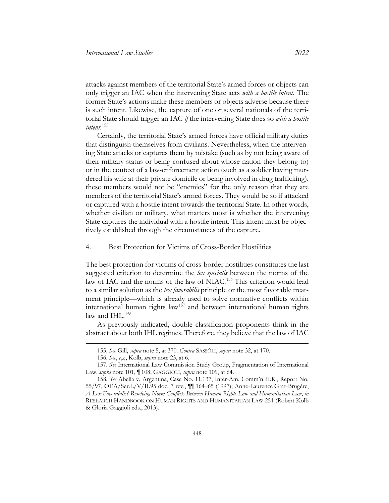attacks against members of the territorial State's armed forces or objects can only trigger an IAC when the intervening State acts *with a hostile intent*. The former State's actions make these members or objects adverse because there is such intent. Likewise, the capture of one or several nationals of the territorial State should trigger an IAC *if* the intervening State does so *with a hostile intent*. [155](#page-41-0)

Certainly, the territorial State's armed forces have official military duties that distinguish themselves from civilians. Nevertheless, when the intervening State attacks or captures them by mistake (such as by not being aware of their military status or being confused about whose nation they belong to) or in the context of a law-enforcement action (such as a soldier having murdered his wife at their private domicile or being involved in drug trafficking), these members would not be "enemies" for the only reason that they are members of the territorial State's armed forces. They would be so if attacked or captured with a hostile intent towards the territorial State. In other words, whether civilian or military, what matters most is whether the intervening State captures the individual with a hostile intent. This intent must be objectively established through the circumstances of the capture.

#### 4. Best Protection for Victims of Cross-Border Hostilities

The best protection for victims of cross-border hostilities constitutes the last suggested criterion to determine the *lex specialis* between the norms of the law of IAC and the norms of the law of NIAC.<sup>[156](#page-41-1)</sup> This criterion would lead to a similar solution as the *lex favorabilis* principle or the most favorable treatment principle—which is already used to solve normative conflicts within international human rights law<sup>[157](#page-41-2)</sup> and between international human rights law and IHL. $158$ 

As previously indicated, double classification proponents think in the abstract about both IHL regimes. Therefore, they believe that the law of IAC

<sup>155.</sup> *See* Gill, *supra* note [5,](#page-3-3) at 370. *Contra* SASSÒLI, *supra* not[e 32,](#page-11-3) at 170.

<sup>156.</sup> *See*, *e.g.*, Kolb, *supra* not[e 23,](#page-8-5) at 6.

<span id="page-41-2"></span><span id="page-41-1"></span><span id="page-41-0"></span><sup>157.</sup> *See* International Law Commission Study Group, Fragmentation of International Law, *supra* note [101,](#page-28-3) ¶ 108; GAGGIOLI, *supra* not[e 109,](#page-29-7) at 64.

<span id="page-41-3"></span><sup>158.</sup> *See* Abella v. Argentina, Case No. 11,137, Inter-Am. Comm'n H.R., Report No. 55/97, OEA/Ser.L/V/II.95 doc. 7 rev., ¶¶ 164–65 (1997); Anne-Laurence Graf-Brugère, *A Lex Favorabilis? Resolving Norm Conflicts Between Human Rights Law and Humanitarian Law*, *in* RESEARCH HANDBOOK ON HUMAN RIGHTS AND HUMANITARIAN LAW 251 (Robert Kolb & Gloria Gaggioli eds., 2013).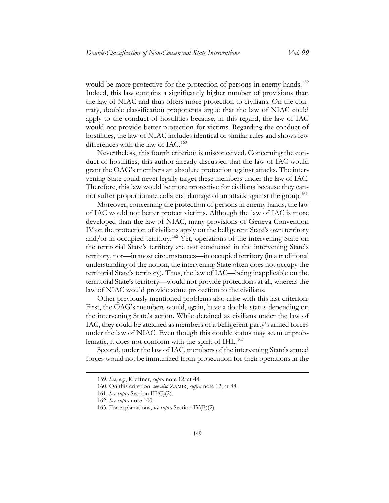would be more protective for the protection of persons in enemy hands.<sup>[159](#page-42-0)</sup> Indeed, this law contains a significantly higher number of provisions than the law of NIAC and thus offers more protection to civilians. On the contrary, double classification proponents argue that the law of NIAC could apply to the conduct of hostilities because, in this regard, the law of IAC would not provide better protection for victims. Regarding the conduct of hostilities, the law of NIAC includes identical or similar rules and shows few differences with the law of IAC.<sup>[160](#page-42-1)</sup>

Nevertheless, this fourth criterion is misconceived. Concerning the conduct of hostilities, this author already discussed that the law of IAC would grant the OAG's members an absolute protection against attacks. The intervening State could never legally target these members under the law of IAC. Therefore, this law would be more protective for civilians because they can-not suffer proportionate collateral damage of an attack against the group.<sup>[161](#page-42-2)</sup>

Moreover, concerning the protection of persons in enemy hands, the law of IAC would not better protect victims. Although the law of IAC is more developed than the law of NIAC, many provisions of Geneva Convention IV on the protection of civilians apply on the belligerent State's own territory and/or in occupied territory.<sup>[162](#page-42-3)</sup> Yet, operations of the intervening State on the territorial State's territory are not conducted in the intervening State's territory, nor—in most circumstances—in occupied territory (in a traditional understanding of the notion, the intervening State often does not occupy the territorial State's territory). Thus, the law of IAC—being inapplicable on the territorial State's territory—would not provide protections at all, whereas the law of NIAC would provide some protection to the civilians.

Other previously mentioned problems also arise with this last criterion. First, the OAG's members would, again, have a double status depending on the intervening State's action. While detained as civilians under the law of IAC, they could be attacked as members of a belligerent party's armed forces under the law of NIAC. Even though this double status may seem unproblematic, it does not conform with the spirit of IHL. [163](#page-42-4)

<span id="page-42-2"></span><span id="page-42-1"></span><span id="page-42-0"></span>Second, under the law of IAC, members of the intervening State's armed forces would not be immunized from prosecution for their operations in the

<sup>159.</sup> *See*, *e.g.*, Kleffner, *supra* not[e 12,](#page-5-2) at 44.

<sup>160.</sup> On this criterion, *see also* ZAMIR, *supra* note [12,](#page-5-2) at 88.

<sup>161.</sup> *See supra* Section III(C)(2).

<span id="page-42-4"></span><span id="page-42-3"></span><sup>162.</sup> *See supra* not[e 100.](#page-27-5) 

<sup>163.</sup> For explanations, *see supra* Section IV(B)(2).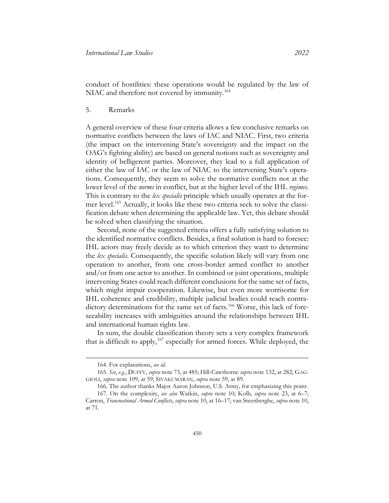conduct of hostilities: these operations would be regulated by the law of NIAC and therefore not covered by immunity.<sup>[164](#page-43-0)</sup>

5. Remarks

A general overview of these four criteria allows a few conclusive remarks on normative conflicts between the laws of IAC and NIAC. First, two criteria (the impact on the intervening State's sovereignty and the impact on the OAG's fighting ability) are based on general notions such as sovereignty and identity of belligerent parties. Moreover, they lead to a full application of either the law of IAC or the law of NIAC to the intervening State's operations. Consequently, they seem to solve the normative conflicts not at the lower level of the *norms* in conflict, but at the higher level of the IHL *regimes*. This is contrary to the *lex specialis* principle which usually operates at the former level.[165](#page-43-1) Actually, it looks like these two criteria seek to solve the classification debate when determining the applicable law. Yet, this debate should be solved when classifying the situation.

Second, none of the suggested criteria offers a fully satisfying solution to the identified normative conflicts. Besides, a final solution is hard to foresee: IHL actors may freely decide as to which criterion they want to determine the *lex specialis*. Consequently, the specific solution likely will vary from one operation to another, from one cross-border armed conflict to another and/or from one actor to another. In combined or joint operations, multiple intervening States could reach different conclusions for the same set of facts, which might impair cooperation. Likewise, but even more worrisome for IHL coherence and credibility, multiple judicial bodies could reach contra-dictory determinations for the same set of facts.<sup>[166](#page-43-2)</sup> Worse, this lack of foreseeability increases with ambiguities around the relationships between IHL and international human rights law.

In sum, the double classification theory sets a very complex framework that is difficult to apply,[167](#page-43-3) especially for armed forces. While deployed, the

<sup>164.</sup> For explanations, *see id.*

<span id="page-43-1"></span><span id="page-43-0"></span><sup>165.</sup> *See*, *e.g.*, DUFFY, *supra* note [73,](#page-20-8) at 485; Hill-Cawthorne *supra* note [132,](#page-33-7) at 282; GAG-GIOLI, *supra* note [109,](#page-29-7) at 59; SIVAKUMARAN, *supra* note [59,](#page-17-5) at 89.

<sup>166.</sup> The author thanks Major Aaron Johnson, U.S. Army, for emphasizing this point.

<span id="page-43-3"></span><span id="page-43-2"></span><sup>167.</sup> On the complexity, *see also* Watkin, *supra* note [10;](#page-4-4) Kolb, *supra* note [23,](#page-8-5) at 6–7; Carron, *Transnational Armed Conflicts*, *supra* not[e 10,](#page-4-4) at 16–17; van Steenberghe, *supra* not[e 10,](#page-4-4) at 71.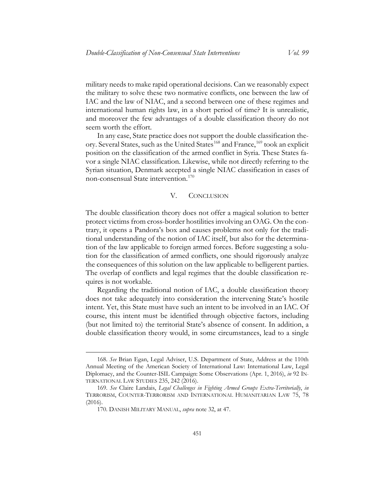military needs to make rapid operational decisions. Can we reasonably expect the military to solve these two normative conflicts, one between the law of IAC and the law of NIAC, and a second between one of these regimes and international human rights law, in a short period of time? It is unrealistic, and moreover the few advantages of a double classification theory do not seem worth the effort.

In any case, State practice does not support the double classification the-ory. Several States, such as the United States<sup>[168](#page-44-1)</sup> and France, <sup>[169](#page-44-2)</sup> took an explicit position on the classification of the armed conflict in Syria. These States favor a single NIAC classification. Likewise, while not directly referring to the Syrian situation, Denmark accepted a single NIAC classification in cases of non-consensual State intervention.[170](#page-44-3)

#### V. CONCLUSION

<span id="page-44-0"></span>The double classification theory does not offer a magical solution to better protect victims from cross-border hostilities involving an OAG. On the contrary, it opens a Pandora's box and causes problems not only for the traditional understanding of the notion of IAC itself, but also for the determination of the law applicable to foreign armed forces. Before suggesting a solution for the classification of armed conflicts, one should rigorously analyze the consequences of this solution on the law applicable to belligerent parties. The overlap of conflicts and legal regimes that the double classification requires is not workable.

Regarding the traditional notion of IAC, a double classification theory does not take adequately into consideration the intervening State's hostile intent. Yet, this State must have such an intent to be involved in an IAC. Of course, this intent must be identified through objective factors, including (but not limited to) the territorial State's absence of consent. In addition, a double classification theory would, in some circumstances, lead to a single

<span id="page-44-1"></span><sup>168.</sup> *See* Brian Egan, Legal Adviser, U.S. Department of State, Address at the 110th Annual Meeting of the American Society of International Law: International Law, Legal Diplomacy, and the Counter-ISIL Campaign: Some Observations (Apr. 1, 2016), *in* 92 IN-TERNATIONAL LAW STUDIES 235, 242 (2016).

<span id="page-44-3"></span><span id="page-44-2"></span><sup>169.</sup> *See* Claire Landais, *Legal Challenges in Fighting Armed Groups Extra-Territorially*, *in* TERRORISM, COUNTER-TERRORISM AND INTERNATIONAL HUMANITARIAN LAW 75, 78 (2016).

<sup>170.</sup> DANISH MILITARY MANUAL, *supra* note [32,](#page-11-3) at 47.